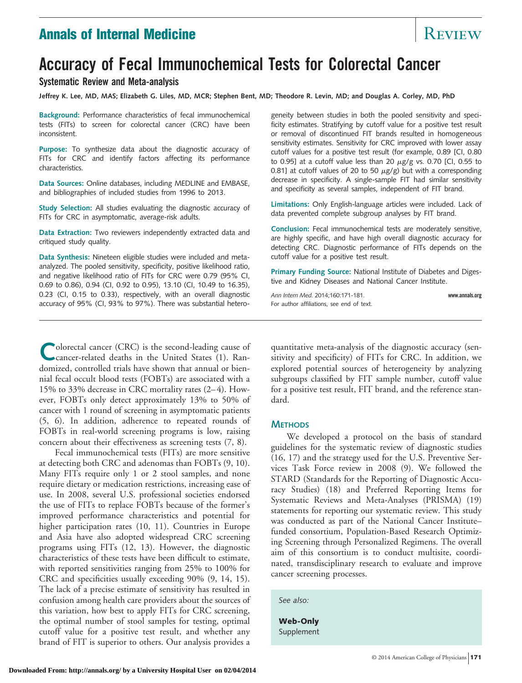# **Annals of Internal Medicine** Review Review Review

# **Accuracy of Fecal Immunochemical Tests for Colorectal Cancer**

# **Systematic Review and Meta-analysis**

**Jeffrey K. Lee, MD, MAS; Elizabeth G. Liles, MD, MCR; Stephen Bent, MD; Theodore R. Levin, MD; and Douglas A. Corley, MD, PhD**

**Background:** Performance characteristics of fecal immunochemical tests (FITs) to screen for colorectal cancer (CRC) have been inconsistent.

**Purpose:** To synthesize data about the diagnostic accuracy of FITs for CRC and identify factors affecting its performance characteristics.

**Data Sources:** Online databases, including MEDLINE and EMBASE, and bibliographies of included studies from 1996 to 2013.

**Study Selection:** All studies evaluating the diagnostic accuracy of FITs for CRC in asymptomatic, average-risk adults.

**Data Extraction:** Two reviewers independently extracted data and critiqued study quality.

**Data Synthesis:** Nineteen eligible studies were included and metaanalyzed. The pooled sensitivity, specificity, positive likelihood ratio, and negative likelihood ratio of FITs for CRC were 0.79 (95% CI, 0.69 to 0.86), 0.94 (CI, 0.92 to 0.95), 13.10 (CI, 10.49 to 16.35), 0.23 (CI, 0.15 to 0.33), respectively, with an overall diagnostic accuracy of 95% (CI, 93% to 97%). There was substantial hetero-

geneity between studies in both the pooled sensitivity and specificity estimates. Stratifying by cutoff value for a positive test result or removal of discontinued FIT brands resulted in homogeneous sensitivity estimates. Sensitivity for CRC improved with lower assay cutoff values for a positive test result (for example, 0.89 [CI, 0.80 to 0.95] at a cutoff value less than 20  $\mu$ g/g vs. 0.70 [CI, 0.55 to 0.81] at cutoff values of 20 to 50  $\mu$ g/g) but with a corresponding decrease in specificity. A single-sample FIT had similar sensitivity and specificity as several samples, independent of FIT brand.

**Limitations:** Only English-language articles were included. Lack of data prevented complete subgroup analyses by FIT brand.

**Conclusion:** Fecal immunochemical tests are moderately sensitive, are highly specific, and have high overall diagnostic accuracy for detecting CRC. Diagnostic performance of FITs depends on the cutoff value for a positive test result.

**Primary Funding Source:** National Institute of Diabetes and Digestive and Kidney Diseases and National Cancer Institute.

*Ann Intern Med.* 2014;160:171-181. **www.annals.org** For author affiliations, see end of text.

**COLOGETA** cancer (CRC) is the second-leading cause of cancer-related deaths in the United States (1). Randomized, controlled trials have shown that annual or biennial fecal occult blood tests (FOBTs) are associated with a 15% to 33% decrease in CRC mortality rates (2–4). However, FOBTs only detect approximately 13% to 50% of cancer with 1 round of screening in asymptomatic patients (5, 6). In addition, adherence to repeated rounds of FOBTs in real-world screening programs is low, raising concern about their effectiveness as screening tests (7, 8).

Fecal immunochemical tests (FITs) are more sensitive at detecting both CRC and adenomas than FOBTs (9, 10). Many FITs require only 1 or 2 stool samples, and none require dietary or medication restrictions, increasing ease of use. In 2008, several U.S. professional societies endorsed the use of FITs to replace FOBTs because of the former's improved performance characteristics and potential for higher participation rates (10, 11). Countries in Europe and Asia have also adopted widespread CRC screening programs using FITs (12, 13). However, the diagnostic characteristics of these tests have been difficult to estimate, with reported sensitivities ranging from 25% to 100% for CRC and specificities usually exceeding 90% (9, 14, 15). The lack of a precise estimate of sensitivity has resulted in confusion among health care providers about the sources of this variation, how best to apply FITs for CRC screening, the optimal number of stool samples for testing, optimal cutoff value for a positive test result, and whether any brand of FIT is superior to others. Our analysis provides a

quantitative meta-analysis of the diagnostic accuracy (sensitivity and specificity) of FITs for CRC. In addition, we explored potential sources of heterogeneity by analyzing subgroups classified by FIT sample number, cutoff value for a positive test result, FIT brand, and the reference standard.

### **METHODS**

We developed a protocol on the basis of standard guidelines for the systematic review of diagnostic studies (16, 17) and the strategy used for the U.S. Preventive Services Task Force review in 2008 (9). We followed the STARD (Standards for the Reporting of Diagnostic Accuracy Studies) (18) and Preferred Reporting Items for Systematic Reviews and Meta-Analyses (PRISMA) (19) statements for reporting our systematic review. This study was conducted as part of the National Cancer Institute– funded consortium, Population-Based Research Optimizing Screening through Personalized Regimens. The overall aim of this consortium is to conduct multisite, coordinated, transdisciplinary research to evaluate and improve cancer screening processes.

*See also:*

**Web-Only** Supplement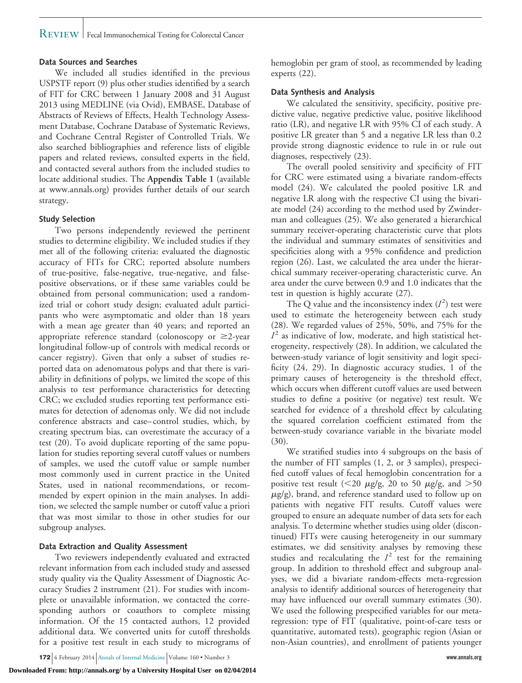# REVIEW | Fecal Immunochemical Testing for Colorectal Cancer

## **Data Sources and Searches**

We included all studies identified in the previous USPSTF report (9) plus other studies identified by a search of FIT for CRC between 1 January 2008 and 31 August 2013 using MEDLINE (via Ovid), EMBASE, Database of Abstracts of Reviews of Effects, Health Technology Assessment Database, Cochrane Database of Systematic Reviews, and Cochrane Central Register of Controlled Trials. We also searched bibliographies and reference lists of eligible papers and related reviews, consulted experts in the field, and contacted several authors from the included studies to locate additional studies. The **Appendix Table 1** (available at [www.annals.org\)](http://www.annals.org) provides further details of our search strategy.

# **Study Selection**

Two persons independently reviewed the pertinent studies to determine eligibility. We included studies if they met all of the following criteria: evaluated the diagnostic accuracy of FITs for CRC; reported absolute numbers of true-positive, false-negative, true-negative, and falsepositive observations, or if these same variables could be obtained from personal communication; used a randomized trial or cohort study design; evaluated adult participants who were asymptomatic and older than 18 years with a mean age greater than 40 years; and reported an appropriate reference standard (colonoscopy or  $\geq$ 2-year longitudinal follow-up of controls with medical records or cancer registry). Given that only a subset of studies reported data on adenomatous polyps and that there is variability in definitions of polyps, we limited the scope of this analysis to test performance characteristics for detecting CRC; we excluded studies reporting test performance estimates for detection of adenomas only. We did not include conference abstracts and case–control studies, which, by creating spectrum bias, can overestimate the accuracy of a test (20). To avoid duplicate reporting of the same population for studies reporting several cutoff values or numbers of samples, we used the cutoff value or sample number most commonly used in current practice in the United States, used in national recommendations, or recommended by expert opinion in the main analyses. In addition, we selected the sample number or cutoff value a priori that was most similar to those in other studies for our subgroup analyses.

# **Data Extraction and Quality Assessment**

Two reviewers independently evaluated and extracted relevant information from each included study and assessed study quality via the Quality Assessment of Diagnostic Accuracy Studies 2 instrument (21). For studies with incomplete or unavailable information, we contacted the corresponding authors or coauthors to complete missing information. Of the 15 contacted authors, 12 provided additional data. We converted units for cutoff thresholds for a positive test result in each study to micrograms of

**172** 4 February 2014 Annals of Internal Medicine Volume 160 • Number 3 **www.annals.org**

hemoglobin per gram of stool, as recommended by leading experts (22).

# **Data Synthesis and Analysis**

We calculated the sensitivity, specificity, positive predictive value, negative predictive value, positive likelihood ratio (LR), and negative LR with 95% CI of each study. A positive LR greater than 5 and a negative LR less than 0.2 provide strong diagnostic evidence to rule in or rule out diagnoses, respectively (23).

The overall pooled sensitivity and specificity of FIT for CRC were estimated using a bivariate random-effects model (24). We calculated the pooled positive LR and negative LR along with the respective CI using the bivariate model (24) according to the method used by Zwinderman and colleagues (25). We also generated a hierarchical summary receiver-operating characteristic curve that plots the individual and summary estimates of sensitivities and specificities along with a 95% confidence and prediction region (26). Last, we calculated the area under the hierarchical summary receiver-operating characteristic curve. An area under the curve between 0.9 and 1.0 indicates that the test in question is highly accurate (27).

The Q value and the inconsistency index  $(I^2)$  test were used to estimate the heterogeneity between each study (28). We regarded values of 25%, 50%, and 75% for the  $I<sup>2</sup>$  as indicative of low, moderate, and high statistical heterogeneity, respectively (28). In addition, we calculated the between-study variance of logit sensitivity and logit specificity (24, 29). In diagnostic accuracy studies, 1 of the primary causes of heterogeneity is the threshold effect, which occurs when different cutoff values are used between studies to define a positive (or negative) test result. We searched for evidence of a threshold effect by calculating the squared correlation coefficient estimated from the between-study covariance variable in the bivariate model (30).

We stratified studies into 4 subgroups on the basis of the number of FIT samples (1, 2, or 3 samples), prespecified cutoff values of fecal hemoglobin concentration for a positive test result (<20  $\mu$ g/g, 20 to 50  $\mu$ g/g, and >50  $\mu$ g/g), brand, and reference standard used to follow up on patients with negative FIT results. Cutoff values were grouped to ensure an adequate number of data sets for each analysis. To determine whether studies using older (discontinued) FITs were causing heterogeneity in our summary estimates, we did sensitivity analyses by removing these studies and recalculating the  $I<sup>2</sup>$  test for the remaining group. In addition to threshold effect and subgroup analyses, we did a bivariate random-effects meta-regression analysis to identify additional sources of heterogeneity that may have influenced our overall summary estimates (30). We used the following prespecified variables for our metaregression: type of FIT (qualitative, point-of-care tests or quantitative, automated tests), geographic region (Asian or non-Asian countries), and enrollment of patients younger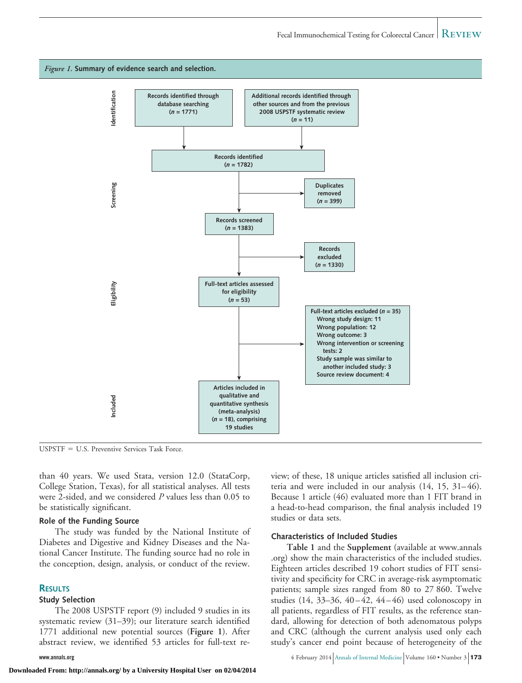



 $USPSTF = U.S.$  Preventive Services Task Force.

than 40 years. We used Stata, version 12.0 (StataCorp, College Station, Texas), for all statistical analyses. All tests were 2-sided, and we considered *P* values less than 0.05 to be statistically significant.

#### **Role of the Funding Source**

The study was funded by the National Institute of Diabetes and Digestive and Kidney Diseases and the National Cancer Institute. The funding source had no role in the conception, design, analysis, or conduct of the review.

### **RESULTS**

#### **Study Selection**

The 2008 USPSTF report (9) included 9 studies in its systematic review (31–39); our literature search identified 1771 additional new potential sources (**Figure 1**). After abstract review, we identified 53 articles for full-text re-

view; of these, 18 unique articles satisfied all inclusion criteria and were included in our analysis (14, 15, 31–46). Because 1 article (46) evaluated more than 1 FIT brand in a head-to-head comparison, the final analysis included 19 studies or data sets.

## **Characteristics of Included Studies**

**Table 1** and the **Supplement** (available at [www.annals](http://www.annals.org) [.org\)](http://www.annals.org) show the main characteristics of the included studies. Eighteen articles described 19 cohort studies of FIT sensitivity and specificity for CRC in average-risk asymptomatic patients; sample sizes ranged from 80 to 27 860. Twelve studies  $(14, 33-36, 40-42, 44-46)$  used colonoscopy in all patients, regardless of FIT results, as the reference standard, allowing for detection of both adenomatous polyps and CRC (although the current analysis used only each study's cancer end point because of heterogeneity of the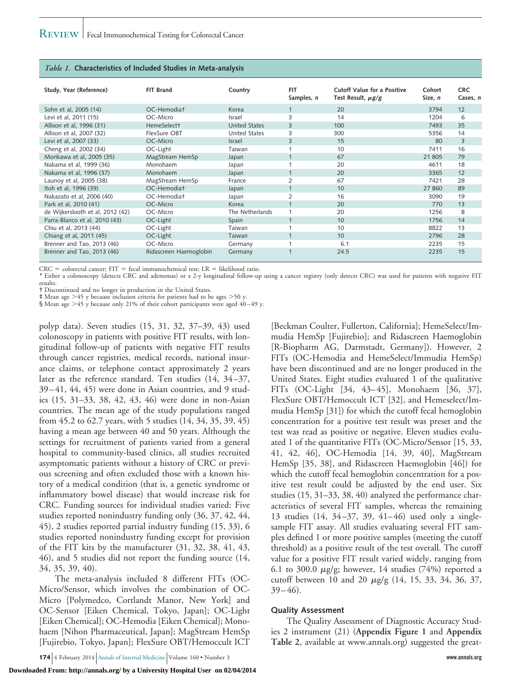#### *Table 1.* **Characteristics of Included Studies in Meta-analysis**

| Study, Year (Reference)          | FIT Brand               | Country              | <b>FIT</b><br>Samples, n | Cutoff Value for a Positive<br>Test Result, $\mu$ g/g | Cohort<br>Size, n | <b>CRC</b><br>Cases, n |
|----------------------------------|-------------------------|----------------------|--------------------------|-------------------------------------------------------|-------------------|------------------------|
| Sohn et al, 2005 (14)            | OC-Hemodiat             | Korea                | $\mathbf{1}$             | 20                                                    | 3794              | 12                     |
| Levi et al. 2011 (15)            | OC-Micro                | <b>Israel</b>        | 3                        | 14                                                    | 1204              | 6                      |
| Allison et al, 1996 (31)         | HemeSelect <sup>+</sup> | <b>United States</b> | 3                        | 100                                                   | 7493              | 35                     |
| Allison et al, 2007 (32)         | FlexSure OBT            | <b>United States</b> | 3                        | 300                                                   | 5356              | 14                     |
| Levi et al, 2007 (33)            | OC-Micro                | <b>Israel</b>        | 3                        | 15                                                    | 80                | 3                      |
| Cheng et al, 2002 (34)           | OC-Light                | Taiwan               |                          | 10                                                    | 7411              | 16                     |
| Morikawa et al, 2005 (35)        | MagStream HemSp         | Japan                | 1                        | 67                                                    | 21 805            | 79                     |
| Nakama et al, 1999 (36)          | Monohaem                | Japan                |                          | 20                                                    | 4611              | 18                     |
| Nakama et al, 1996 (37)          | Monohaem                | Japan                | $\mathbf{1}$             | 20                                                    | 3365              | 12                     |
| Launoy et al, 2005 (38)          | MagStream HemSp         | France               | $\overline{2}$           | 67                                                    | 7421              | 28                     |
| Itoh et al, 1996 (39)            | OC-Hemodiat             | Japan                | $\mathbf{1}$             | 10                                                    | 27 860            | 89                     |
| Nakazato et al, 2006 (40)        | OC-Hemodiat             | Japan                | $\overline{2}$           | 16                                                    | 3090              | 19                     |
| Park et al. 2010 (41)            | OC-Micro                | Korea                |                          | 20                                                    | 770               | 13                     |
| de Wijkerslooth et al, 2012 (42) | OC-Micro                | The Netherlands      | $\mathbf{1}$             | 20                                                    | 1256              | 8                      |
| Parra-Blanco et al, 2010 (43)    | OC-Light                | Spain                | $\mathbf{1}$             | 10 <sup>°</sup>                                       | 1756              | 14                     |
| Chiu et al, 2013 (44)            | OC-Light                | Taiwan               | 1                        | 10                                                    | 8822              | 13                     |
| Chiang et al, 2011 (45)          | OC-Light                | Taiwan               | 1                        | 10 <sup>°</sup>                                       | 2796              | 28                     |
| Brenner and Tao. 2013 (46)       | OC-Micro                | Germany              |                          | 6.1                                                   | 2235              | 15                     |
| Brenner and Tao, 2013 (46)       | Ridascreen Haemoglobin  | Germany              |                          | 24.5                                                  | 2235              | 15                     |

 $CRC =$  colorectal cancer;  $FIT =$  fecal immunochemical test;  $LR =$  likelihood ratio.

\* Either a colonoscopy (detects CRC and adenomas) or a 2-y longitudinal follow-up using a cancer registry (only detects CRC) was used for patients with negative FIT results.

† Discontinued and no longer in production in the United States.

‡ Mean age 45 y because inclusion criteria for patients had to be ages 50 y.

§ Mean age  $>45$  y because only 21% of their cohort participants were aged 40–49 y.

polyp data). Seven studies (15, 31, 32, 37–39, 43) used colonoscopy in patients with positive FIT results, with longitudinal follow-up of patients with negative FIT results through cancer registries, medical records, national insurance claims, or telephone contact approximately 2 years later as the reference standard. Ten studies (14, 34–37, 39–41, 44, 45) were done in Asian countries, and 9 studies (15, 31–33, 38, 42, 43, 46) were done in non-Asian countries. The mean age of the study populations ranged from 45.2 to 62.7 years, with 5 studies (14, 34, 35, 39, 45) having a mean age between 40 and 50 years. Although the settings for recruitment of patients varied from a general hospital to community-based clinics, all studies recruited asymptomatic patients without a history of CRC or previous screening and often excluded those with a known history of a medical condition (that is, a genetic syndrome or inflammatory bowel disease) that would increase risk for CRC. Funding sources for individual studies varied: Five studies reported nonindustry funding only (36, 37, 42, 44, 45), 2 studies reported partial industry funding (15, 33), 6 studies reported nonindustry funding except for provision of the FIT kits by the manufacturer (31, 32, 38, 41, 43, 46), and 5 studies did not report the funding source (14, 34, 35, 39, 40).

The meta-analysis included 8 different FITs (OC-Micro/Sensor, which involves the combination of OC-Micro [Polymedco, Cortlandt Manor, New York] and OC-Sensor [Eiken Chemical, Tokyo, Japan]; OC-Light [Eiken Chemical]; OC-Hemodia [Eiken Chemical]; Monohaem [Nihon Pharmaceutical, Japan]; MagStream HemSp [Fujirebio, Tokyo, Japan]; FlexSure OBT/Hemoccult ICT

**174** 4 February 2014 Annals of Internal Medicine Volume 160 • Number 3 **www.annals.org**

**Downloaded From: http://annals.org/ by a University Hospital User on 02/04/2014**

[Beckman Coulter, Fullerton, California]; HemeSelect/Immudia HemSp [Fujirebio]; and Ridascreen Haemoglobin [R-Biopharm AG, Darmstadt, Germany]). However, 2 FITs (OC-Hemodia and HemeSelect/Immudia HemSp) have been discontinued and are no longer produced in the United States. Eight studies evaluated 1 of the qualitative FITs (OC-Light [34, 43–45], Monohaem [36, 37], FlexSure OBT/Hemoccult ICT [32], and Hemeselect/Immudia HemSp [31]) for which the cutoff fecal hemoglobin concentration for a positive test result was preset and the test was read as positive or negative. Eleven studies evaluated 1 of the quantitative FITs (OC-Micro/Sensor [15, 33, 41, 42, 46], OC-Hemodia [14, 39, 40], MagStream HemSp [35, 38], and Ridascreen Haemoglobin [46]) for which the cutoff fecal hemoglobin concentration for a positive test result could be adjusted by the end user. Six studies (15, 31–33, 38, 40) analyzed the performance characteristics of several FIT samples, whereas the remaining 13 studies (14, 34–37, 39, 41–46) used only a singlesample FIT assay. All studies evaluating several FIT samples defined 1 or more positive samples (meeting the cutoff threshold) as a positive result of the test overall. The cutoff value for a positive FIT result varied widely, ranging from 6.1 to 300.0  $\mu$ g/g; however, 14 studies (74%) reported a cutoff between 10 and 20  $\mu$ g/g (14, 15, 33, 34, 36, 37,  $39-46$ ).

#### **Quality Assessment**

The Quality Assessment of Diagnostic Accuracy Studies 2 instrument (21) (**Appendix Figure 1** and **Appendix Table 2**, available at [www.annals.org\)](http://www.annals.org) suggested the great-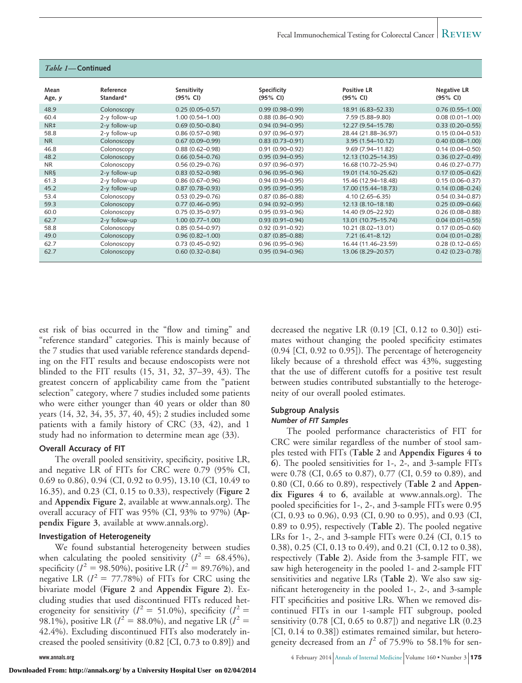| <i>Table 1</i> — Continued |                        |                         |                         |                                |                                |
|----------------------------|------------------------|-------------------------|-------------------------|--------------------------------|--------------------------------|
| Mean<br>Age, y             | Reference<br>Standard* | Sensitivity<br>(95% CI) | Specificity<br>(95% CI) | <b>Positive LR</b><br>(95% CI) | <b>Negative LR</b><br>(95% CI) |
| 48.9                       | Colonoscopy            | $0.25(0.05 - 0.57)$     | $0.99(0.98 - 0.99)$     | 18.91 (6.83-52.33)             | $0.76(0.55 - 1.00)$            |
| 60.4                       | 2-y follow-up          | $1.00(0.54 - 1.00)$     | $0.88(0.86 - 0.90)$     | 7.59 (5.88-9.80)               | $0.08(0.01 - 1.00)$            |
| NR <sup>‡</sup>            | 2-y follow-up          | $0.69(0.50 - 0.84)$     | $0.94(0.94 - 0.95)$     | 12.27 (9.54-15.78)             | $0.33(0.20 - 0.55)$            |
| 58.8                       | 2-y follow-up          | $0.86(0.57-0.98)$       | $0.97(0.96 - 0.97)$     | 28.44 (21.88-36.97)            | $0.15(0.04 - 0.53)$            |
| <b>NR</b>                  | Colonoscopy            | $0.67(0.09 - 0.99)$     | $0.83(0.73 - 0.91)$     | $3.95(1.54 - 10.12)$           | $0.40(0.08 - 1.00)$            |
| 46.8                       | Colonoscopy            | $0.88(0.62 - 0.98)$     | $0.91(0.90 - 0.92)$     | 9.69 (7.94-11.82)              | $0.14(0.04 - 0.50)$            |
| 48.2                       | Colonoscopy            | $0.66(0.54 - 0.76)$     | $0.95(0.94 - 0.95)$     | 12.13 (10.25-14.35)            | $0.36(0.27 - 0.49)$            |
| <b>NR</b>                  | Colonoscopy            | $0.56(0.29 - 0.76)$     | $0.97(0.96 - 0.97)$     | 16.68 (10.72-25.94)            | $0.46(0.27 - 0.77)$            |
| <b>NRS</b>                 | 2-y follow-up          | $0.83(0.52 - 0.98)$     | $0.96(0.95 - 0.96)$     | 19.01 (14.10-25.62)            | $0.17(0.05 - 0.62)$            |
| 61.3                       | 2-y follow-up          | $0.86(0.67 - 0.96)$     | $0.94(0.94 - 0.95)$     | 15.46 (12.94-18.48)            | $0.15(0.06 - 0.37)$            |
| 45.2                       | 2-y follow-up          | $0.87(0.78 - 0.93)$     | $0.95(0.95 - 0.95)$     | 17.00 (15.44-18.73)            | $0.14(0.08 - 0.24)$            |
| 53.4                       | Colonoscopy            | $0.53(0.29 - 0.76)$     | $0.87(0.86 - 0.88)$     | $4.10(2.65 - 6.35)$            | $0.54(0.34 - 0.87)$            |
| 59.3                       | Colonoscopy            | $0.77(0.46 - 0.95)$     | $0.94(0.92 - 0.95)$     | 12.13 (8.10-18.18)             | $0.25(0.09 - 0.66)$            |
| 60.0                       | Colonoscopy            | $0.75(0.35 - 0.97)$     | $0.95(0.93 - 0.96)$     | 14.40 (9.05-22.92)             | $0.26(0.08 - 0.88)$            |
| 62.7                       | 2-y follow-up          | $1.00(0.77 - 1.00)$     | $0.93(0.91 - 0.94)$     | 13.01 (10.75-15.74)            | $0.04(0.01 - 0.55)$            |
| 58.8                       | Colonoscopy            | $0.85(0.54 - 0.97)$     | $0.92(0.91 - 0.92)$     | 10.21 (8.02-13.01)             | $0.17(0.05 - 0.60)$            |
| 49.0                       | Colonoscopy            | $0.96(0.82 - 1.00)$     | $0.87(0.85 - 0.88)$     | $7.21(6.41 - 8.12)$            | $0.04(0.01 - 0.28)$            |
| 62.7                       | Colonoscopy            | $0.73(0.45 - 0.92)$     | $0.96(0.95 - 0.96)$     | 16.44 (11.46-23.59)            | $0.28(0.12 - 0.65)$            |
| 62.7                       | Colonoscopy            | $0.60(0.32 - 0.84)$     | $0.95(0.94 - 0.96)$     | 13.06 (8.29 - 20.57)           | $0.42(0.23 - 0.78)$            |

est risk of bias occurred in the "flow and timing" and "reference standard" categories. This is mainly because of the 7 studies that used variable reference standards depending on the FIT results and because endoscopists were not blinded to the FIT results (15, 31, 32, 37–39, 43). The greatest concern of applicability came from the "patient selection" category, where 7 studies included some patients who were either younger than 40 years or older than 80 years (14, 32, 34, 35, 37, 40, 45); 2 studies included some patients with a family history of CRC (33, 42), and 1 study had no information to determine mean age (33).

# **Overall Accuracy of FIT**

The overall pooled sensitivity, specificity, positive LR, and negative LR of FITs for CRC were 0.79 (95% CI, 0.69 to 0.86), 0.94 (CI, 0.92 to 0.95), 13.10 (CI, 10.49 to 16.35), and 0.23 (CI, 0.15 to 0.33), respectively (**Figure 2** and **Appendix Figure 2**, available at [www.annals.org\)](http://www.annals.org). The overall accuracy of FIT was 95% (CI, 93% to 97%) (**Appendix Figure 3**, available at [www.annals.org\)](http://www.annals.org).

# **Investigation of Heterogeneity**

We found substantial heterogeneity between studies when calculating the pooled sensitivity  $(I^2 = 68.45\%),$ specificity ( $I^2 = 98.50\%$ ), positive LR ( $I^2 = 89.76\%$ ), and negative LR  $(I^2 = 77.78\%)$  of FITs for CRC using the bivariate model (**Figure 2** and **Appendix Figure 2**). Excluding studies that used discontinued FITs reduced heterogeneity for sensitivity ( $I^2 = 51.0\%$ ), specificity ( $I^2 =$ 98.1%), positive LR ( $I^2 = 88.0$ %), and negative LR ( $I^2 =$ 42.4%). Excluding discontinued FITs also moderately increased the pooled sensitivity (0.82 [CI, 0.73 to 0.89]) and decreased the negative LR (0.19 [CI, 0.12 to 0.30]) estimates without changing the pooled specificity estimates (0.94 [CI, 0.92 to 0.95]). The percentage of heterogeneity likely because of a threshold effect was 43%, suggesting that the use of different cutoffs for a positive test result between studies contributed substantially to the heterogeneity of our overall pooled estimates.

# **Subgroup Analysis**

# **Number of FIT Samples**

The pooled performance characteristics of FIT for CRC were similar regardless of the number of stool samples tested with FITs (**Table 2** and **Appendix Figures 4 to 6**). The pooled sensitivities for 1-, 2-, and 3-sample FITs were 0.78 (CI, 0.65 to 0.87), 0.77 (CI, 0.59 to 0.89), and 0.80 (CI, 0.66 to 0.89), respectively (**Table 2** and **Appendix Figures 4** to **6**, available at [www.annals.org\)](http://www.annals.org). The pooled specificities for 1-, 2-, and 3-sample FITs were 0.95 (CI, 0.93 to 0.96), 0.93 (CI, 0.90 to 0.95), and 0.93 (CI, 0.89 to 0.95), respectively (**Table 2**). The pooled negative LRs for 1-, 2-, and 3-sample FITs were 0.24 (CI, 0.15 to 0.38), 0.25 (CI, 0.13 to 0.49), and 0.21 (CI, 0.12 to 0.38), respectively (**Table 2**). Aside from the 3-sample FIT, we saw high heterogeneity in the pooled 1- and 2-sample FIT sensitivities and negative LRs (**Table 2**). We also saw significant heterogeneity in the pooled 1-, 2-, and 3-sample FIT specificities and positive LRs. When we removed discontinued FITs in our 1-sample FIT subgroup, pooled sensitivity (0.78 [CI, 0.65 to 0.87]) and negative LR (0.23 [CI, 0.14 to 0.38]) estimates remained similar, but heterogeneity decreased from an  $I^2$  of 75.9% to 58.1% for sen-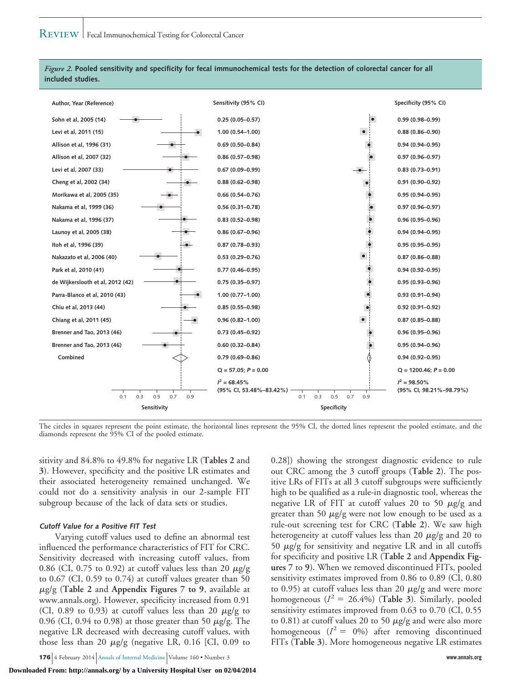

# *Figure 2.* **Pooled sensitivity and specificity for fecal immunochemical tests for the detection of colorectal cancer for all included studies.**

The circles in squares represent the point estimate, the horizontal lines represent the 95% CI, the dotted lines represent the pooled estimate, and the diamonds represent the 95% CI of the pooled estimate.

sitivity and 84.8% to 49.8% for negative LR (**Tables 2** and **3**). However, specificity and the positive LR estimates and their associated heterogeneity remained unchanged. We could not do a sensitivity analysis in our 2-sample FIT subgroup because of the lack of data sets or studies.

### **Cutoff Value for <sup>a</sup> Positive FIT Test**

Varying cutoff values used to define an abnormal test influenced the performance characteristics of FIT for CRC. Sensitivity decreased with increasing cutoff values, from 0.86 (CI, 0.75 to 0.92) at cutoff values less than 20  $\mu$ g/g to 0.67 (CI, 0.59 to 0.74) at cutoff values greater than 50 -g/g (**Table 2** and **Appendix Figures 7 to 9**, available at [www.annals.org\)](http://www.annals.org). However, specificity increased from 0.91 (CI, 0.89 to 0.93) at cutoff values less than 20  $\mu$ g/g to 0.96 (CI, 0.94 to 0.98) at those greater than 50  $\mu$ g/g. The negative LR decreased with decreasing cutoff values, with those less than 20  $\mu$ g/g (negative LR, 0.16 [CI, 0.09 to

**176** 4 February 2014 Annals of Internal Medicine Volume 160 • Number 3 **www.annals.org**

0.28]) showing the strongest diagnostic evidence to rule out CRC among the 3 cutoff groups (**Table 2**). The positive LRs of FITs at all 3 cutoff subgroups were sufficiently high to be qualified as a rule-in diagnostic tool, whereas the negative LR of FIT at cutoff values 20 to 50  $\mu$ g/g and greater than 50  $\mu$ g/g were not low enough to be used as a rule-out screening test for CRC (**Table 2**). We saw high heterogeneity at cutoff values less than 20  $\mu$ g/g and 20 to 50  $\mu$ g/g for sensitivity and negative LR and in all cutoffs for specificity and positive LR (**Table 2** and **Appendix Figures 7** to **9**). When we removed discontinued FITs, pooled sensitivity estimates improved from 0.86 to 0.89 (CI, 0.80 to 0.95) at cutoff values less than 20  $\mu$ g/g and were more homogeneous ( $I^2 = 26.4\%$ ) (Table 3). Similarly, pooled sensitivity estimates improved from 0.63 to 0.70 (CI, 0.55 to 0.81) at cutoff values 20 to 50  $\mu$ g/g and were also more homogeneous  $(I^2 = 0\%)$  after removing discontinued FITs (**Table 3**). More homogeneous negative LR estimates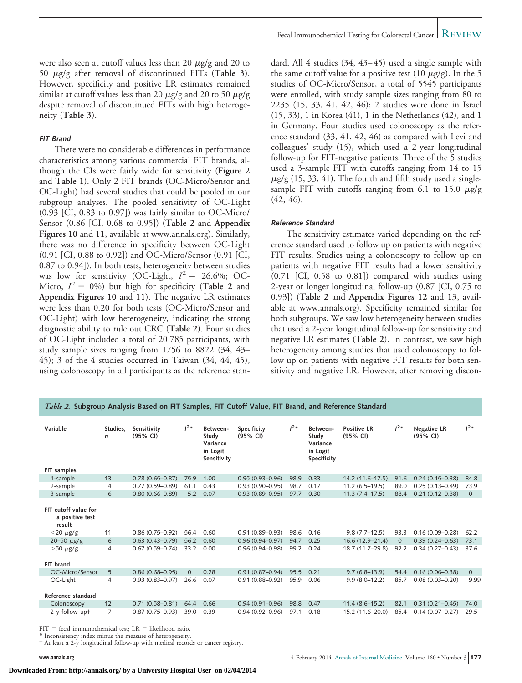were also seen at cutoff values less than 20  $\mu$ g/g and 20 to 50  $\mu$ g/g after removal of discontinued FITs (T**able 3**). However, specificity and positive LR estimates remained similar at cutoff values less than 20  $\mu$ g/g and 20 to 50  $\mu$ g/g despite removal of discontinued FITs with high heterogeneity (**Table 3**).

#### **FIT Brand**

There were no considerable differences in performance characteristics among various commercial FIT brands, although the CIs were fairly wide for sensitivity (**Figure 2** and **Table 1**). Only 2 FIT brands (OC-Micro/Sensor and OC-Light) had several studies that could be pooled in our subgroup analyses. The pooled sensitivity of OC-Light (0.93 [CI, 0.83 to 0.97]) was fairly similar to OC-Micro/ Sensor (0.86 [CI, 0.68 to 0.95]) (**Table 2** and **Appendix Figures 10** and **11**, available at [www.annals.org\)](http://www.annals.org). Similarly, there was no difference in specificity between OC-Light (0.91 [CI, 0.88 to 0.92]) and OC-Micro/Sensor (0.91 [CI, 0.87 to 0.94]). In both tests, heterogeneity between studies was low for sensitivity (OC-Light,  $I^2 = 26.6\%$ ; OC-Micro,  $I^2 = 0\%$ ) but high for specificity (**Table 2** and **Appendix Figures 10** and **11**). The negative LR estimates were less than 0.20 for both tests (OC-Micro/Sensor and OC-Light) with low heterogeneity, indicating the strong diagnostic ability to rule out CRC (**Table 2**). Four studies of OC-Light included a total of 20 785 participants, with study sample sizes ranging from 1756 to 8822 (34, 43– 45); 3 of the 4 studies occurred in Taiwan (34, 44, 45), using colonoscopy in all participants as the reference stan-

dard. All 4 studies (34, 43–45) used a single sample with the same cutoff value for a positive test (10  $\mu$ g/g). In the 5 studies of OC-Micro/Sensor, a total of 5545 participants were enrolled, with study sample sizes ranging from 80 to 2235 (15, 33, 41, 42, 46); 2 studies were done in Israel (15, 33), 1 in Korea (41), 1 in the Netherlands (42), and 1 in Germany. Four studies used colonoscopy as the reference standard (33, 41, 42, 46) as compared with Levi and colleagues' study (15), which used a 2-year longitudinal follow-up for FIT-negative patients. Three of the 5 studies used a 3-sample FIT with cutoffs ranging from 14 to 15  $\mu$ g/g (15, 33, 41). The fourth and fifth study used a singlesample FIT with cutoffs ranging from 6.1 to 15.0  $\mu$ g/g (42, 46).

#### **Reference Standard**

The sensitivity estimates varied depending on the reference standard used to follow up on patients with negative FIT results. Studies using a colonoscopy to follow up on patients with negative FIT results had a lower sensitivity (0.71 [CI, 0.58 to 0.81]) compared with studies using 2-year or longer longitudinal follow-up (0.87 [CI, 0.75 to 0.93]) (**Table 2** and **Appendix Figures 12** and **13**, available at [www.annals.org\)](http://www.annals.org). Specificity remained similar for both subgroups. We saw low heterogeneity between studies that used a 2-year longitudinal follow-up for sensitivity and negative LR estimates (**Table 2**). In contrast, we saw high heterogeneity among studies that used colonoscopy to follow up on patients with negative FIT results for both sensitivity and negative LR. However, after removing discon-

| Variable                                          | Studies.<br>$\mathsf{n}$ | Sensitivity<br>$(95%$ CI) | $1^{2*}$ | Between-<br>Study<br>Variance<br>in Logit<br>Sensitivity | Specificity<br>(95% CI) | $1^{2*}$ | Between-<br>Study<br>Variance<br>in Logit<br>Specificity | <b>Positive LR</b><br>$(95%$ CI) | $1^{2*}$     | <b>Negative LR</b><br>$(95%$ CI) | 1 <sup>2</sup> |
|---------------------------------------------------|--------------------------|---------------------------|----------|----------------------------------------------------------|-------------------------|----------|----------------------------------------------------------|----------------------------------|--------------|----------------------------------|----------------|
| FIT samples                                       |                          |                           |          |                                                          |                         |          |                                                          |                                  |              |                                  |                |
| 1-sample                                          | 13                       | $0.78(0.65 - 0.87)$       | 75.9     | 1.00                                                     | $0.95(0.93 - 0.96)$     | 98.9     | 0.33                                                     | $14.2(11.6 - 17.5)$              | 91.6         | $0.24(0.15 - 0.38)$              | 84.8           |
| 2-sample                                          | $\overline{4}$           | $0.77(0.59 - 0.89)$       | 61.1     | 0.43                                                     | $0.93(0.90 - 0.95)$     | 98.7     | 0.17                                                     | $11.2(6.5-19.5)$                 | 89.0         | $0.25(0.13 - 0.49)$              | 73.9           |
| 3-sample                                          | 6                        | $0.80(0.66 - 0.89)$       | 5.2      | 0.07                                                     | $0.93(0.89 - 0.95)$     | 97.7     | 0.30                                                     | $11.3(7.4-17.5)$                 | 88.4         | $0.21(0.12 - 0.38)$              | $\overline{0}$ |
| FIT cutoff value for<br>a positive test<br>result |                          |                           |          |                                                          |                         |          |                                                          |                                  |              |                                  |                |
| $<$ 20 $\mu$ g/g                                  | 11                       | $0.86(0.75 - 0.92)$       | 56.4     | 0.60                                                     | $0.91(0.89 - 0.93)$     | 98.6     | 0.16                                                     | $9.8(7.7-12.5)$                  | 93.3         | $0.16(0.09 - 0.28)$              | 62.2           |
| 20-50 $\mu$ g/g                                   | 6                        | $0.63(0.43 - 0.79)$       | 56.2     | 0.60                                                     | $0.96(0.94 - 0.97)$     | 94.7     | 0.25                                                     | 16.6 (12.9-21.4)                 | $\mathbf{0}$ | $0.39(0.24 - 0.63)$              | 73.1           |
| $>50 \mu g/g$                                     | 4                        | $0.67(0.59 - 0.74)$       | 33.2     | 0.00                                                     | $0.96(0.94 - 0.98)$     | 99.2     | 0.24                                                     | 18.7 (11.7-29.8)                 | 92.2         | $0.34(0.27 - 0.43)$              | 37.6           |
| FIT brand                                         |                          |                           |          |                                                          |                         |          |                                                          |                                  |              |                                  |                |
| OC-Micro/Sensor                                   | 5                        | $0.86(0.68 - 0.95)$       | $\Omega$ | 0.28                                                     | $0.91(0.87 - 0.94)$     | 95.5     | 0.21                                                     | $9.7(6.8-13.9)$                  | 54.4         | $0.16(0.06 - 0.38)$              | $\Omega$       |
| OC-Light                                          | 4                        | $0.93(0.83 - 0.97)$       | 26.6     | 0.07                                                     | $0.91(0.88 - 0.92)$     | 95.9     | 0.06                                                     | $9.9(8.0 - 12.2)$                | 85.7         | $0.08(0.03 - 0.20)$              | 9.99           |
| Reference standard                                |                          |                           |          |                                                          |                         |          |                                                          |                                  |              |                                  |                |
| Colonoscopy                                       | 12                       | $0.71(0.58 - 0.81)$       | 64.4     | 0.66                                                     | $0.94(0.91 - 0.96)$     | 98.8     | 0.47                                                     | $11.4(8.6 - 15.2)$               | 82.1         | $0.31(0.21 - 0.45)$              | 74.0           |
| 2-y follow-upt                                    | 7                        | $0.87(0.75 - 0.93)$       | 39.0     | 0.39                                                     | $0.94(0.92 - 0.96)$     | 97.1     | 0.18                                                     | 15.2 (11.6-20.0)                 | 85.4         | $0.14(0.07 - 0.27)$              | 29.5           |

*Table 2.* **Subgroup Analysis Based on FIT Samples, FIT Cutoff Value, FIT Brand, and Reference Standard**

 $FIT = fecal immunochemical test; LR = likelihood ratio.$ 

\* Inconsistency index minus the measure of heterogeneity. † At least a 2-y longitudinal follow-up with medical records or cancer registry.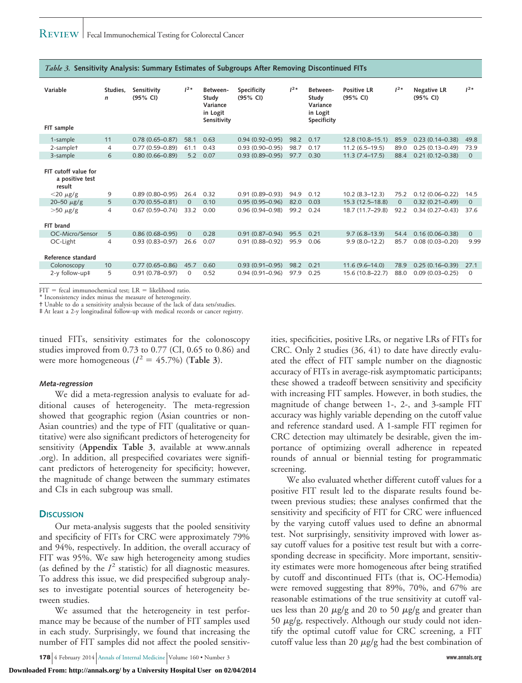| Variable<br>FIT sample                            | Studies.<br>$\mathsf{n}$ | Sensitivity<br>(95% CI) | $1^{2*}$ | Between-<br>Study<br>Variance<br>in Logit<br>Sensitivity | Specificity<br>$(95%$ CI) | $1^{2*}$ | Between-<br>Study<br>Variance<br>in Logit<br>Specificity | <b>Positive LR</b><br>$(95%$ CI) | $1^{2*}$       | <b>Negative LR</b><br>(95% CI) | $1^{2*}$       |
|---------------------------------------------------|--------------------------|-------------------------|----------|----------------------------------------------------------|---------------------------|----------|----------------------------------------------------------|----------------------------------|----------------|--------------------------------|----------------|
| 1-sample                                          | 11                       | $0.78(0.65 - 0.87)$     | 58.1     | 0.63                                                     | $0.94(0.92 - 0.95)$       | 98.2     | 0.17                                                     | 12.8 (10.8-15.1)                 | 85.9           | $0.23(0.14 - 0.38)$            | 49.8           |
| 2-samplet                                         | $\overline{4}$           | $0.77(0.59 - 0.89)$     | 61.1     | 0.43                                                     | $0.93(0.90 - 0.95)$       | 98.7     | 0.17                                                     | $11.2(6.5 - 19.5)$               | 89.0           | $0.25(0.13 - 0.49)$            | 73.9           |
| 3-sample                                          | 6                        | $0.80(0.66 - 0.89)$     | 5.2      | 0.07                                                     | $0.93(0.89 - 0.95)$       | 97.7     | 0.30                                                     | $11.3(7.4 - 17.5)$               | 88.4           | $0.21(0.12 - 0.38)$            | $\overline{0}$ |
| FIT cutoff value for<br>a positive test<br>result |                          |                         |          |                                                          |                           |          |                                                          |                                  |                |                                |                |
| $<$ 20 $\mu$ g/g                                  | 9                        | $0.89(0.80 - 0.95)$     | 26.4     | 0.32                                                     | $0.91(0.89 - 0.93)$       | 94.9     | 0.12                                                     | $10.2 (8.3 - 12.3)$              | 75.2           | $0.12(0.06 - 0.22)$            | 14.5           |
| 20-50 $\mu$ g/g                                   | 5                        | $0.70(0.55 - 0.81)$     | $\Omega$ | 0.10                                                     | $0.95(0.95 - 0.96)$       | 82.0     | 0.03                                                     | 15.3 (12.5-18.8)                 | $\overline{0}$ | $0.32(0.21 - 0.49)$            | $\mathbf{0}$   |
| $>50 \mu g/g$<br>FIT brand                        | 4                        | $0.67(0.59 - 0.74)$     | 33.2     | 0.00                                                     | $0.96(0.94 - 0.98)$       | 99.2     | 0.24                                                     | 18.7 (11.7-29.8)                 | 92.2           | $0.34(0.27 - 0.43)$            | 37.6           |
| OC-Micro/Sensor                                   | 5                        | $0.86(0.68 - 0.95)$     | $\Omega$ | 0.28                                                     | $0.91(0.87 - 0.94)$       | 95.5     | 0.21                                                     | $9.7(6.8-13.9)$                  | 54.4           | $0.16(0.06 - 0.38)$            | $\mathbf{0}$   |
| OC-Light                                          | 4                        | $0.93(0.83 - 0.97)$     | 26.6     | 0.07                                                     | $0.91(0.88 - 0.92)$       | 95.9     | 0.06                                                     | $9.9(8.0 - 12.2)$                | 85.7           | $0.08(0.03 - 0.20)$            | 9.99           |
| Reference standard                                |                          |                         |          |                                                          |                           |          |                                                          |                                  |                |                                |                |
| Colonoscopy                                       | 10                       | $0.77(0.65 - 0.86)$     | 45.7     | 0.60                                                     | $0.93(0.91 - 0.95)$       | 98.2     | 0.21                                                     | $11.6(9.6 - 14.0)$               | 78.9           | $0.25(0.16 - 0.39)$            | 27.1           |
| 2-y follow-up‡                                    | 5                        | $0.91(0.78 - 0.97)$     | $\Omega$ | 0.52                                                     | $0.94(0.91 - 0.96)$       | 97.9     | 0.25                                                     | 15.6 (10.8-22.7)                 | 88.0           | $0.09(0.03 - 0.25)$            | $\Omega$       |

*Table 3.* **Sensitivity Analysis: Summary Estimates of Subgroups After Removing Discontinued FITs**

 $FIT = fecal immunochemical test; LR = likelihood ratio.$ 

\* Inconsistency index minus the measure of heterogeneity.

† Unable to do a sensitivity analysis because of the lack of data sets/studies.

‡ At least a 2-y longitudinal follow-up with medical records or cancer registry.

tinued FITs, sensitivity estimates for the colonoscopy studies improved from 0.73 to 0.77 (CI, 0.65 to 0.86) and were more homogeneous  $(I^2 = 45.7\%)$  (Table 3).

#### **Meta-regression**

We did a meta-regression analysis to evaluate for additional causes of heterogeneity. The meta-regression showed that geographic region (Asian countries or non-Asian countries) and the type of FIT (qualitative or quantitative) were also significant predictors of heterogeneity for sensitivity (**Appendix Table 3**, available at [www.annals](http://www.annals.org) [.org\)](http://www.annals.org). In addition, all prespecified covariates were significant predictors of heterogeneity for specificity; however, the magnitude of change between the summary estimates and CIs in each subgroup was small.

#### **DISCUSSION**

Our meta-analysis suggests that the pooled sensitivity and specificity of FITs for CRC were approximately 79% and 94%, respectively. In addition, the overall accuracy of FIT was 95%. We saw high heterogeneity among studies (as defined by the  $I<sup>2</sup>$  statistic) for all diagnostic measures. To address this issue, we did prespecified subgroup analyses to investigate potential sources of heterogeneity between studies.

We assumed that the heterogeneity in test performance may be because of the number of FIT samples used in each study. Surprisingly, we found that increasing the number of FIT samples did not affect the pooled sensitiv-

**178** 4 February 2014 Annals of Internal Medicine Volume 160 • Number 3 **www.annals.org**

ities, specificities, positive LRs, or negative LRs of FITs for CRC. Only 2 studies (36, 41) to date have directly evaluated the effect of FIT sample number on the diagnostic accuracy of FITs in average-risk asymptomatic participants; these showed a tradeoff between sensitivity and specificity with increasing FIT samples. However, in both studies, the magnitude of change between 1-, 2-, and 3-sample FIT accuracy was highly variable depending on the cutoff value and reference standard used. A 1-sample FIT regimen for CRC detection may ultimately be desirable, given the importance of optimizing overall adherence in repeated rounds of annual or biennial testing for programmatic screening.

We also evaluated whether different cutoff values for a positive FIT result led to the disparate results found between previous studies; these analyses confirmed that the sensitivity and specificity of FIT for CRC were influenced by the varying cutoff values used to define an abnormal test. Not surprisingly, sensitivity improved with lower assay cutoff values for a positive test result but with a corresponding decrease in specificity. More important, sensitivity estimates were more homogeneous after being stratified by cutoff and discontinued FITs (that is, OC-Hemodia) were removed suggesting that 89%, 70%, and 67% are reasonable estimations of the true sensitivity at cutoff values less than 20  $\mu$ g/g and 20 to 50  $\mu$ g/g and greater than 50  $\mu$ g/g, respectively. Although our study could not identify the optimal cutoff value for CRC screening, a FIT cutoff value less than 20  $\mu$ g/g had the best combination of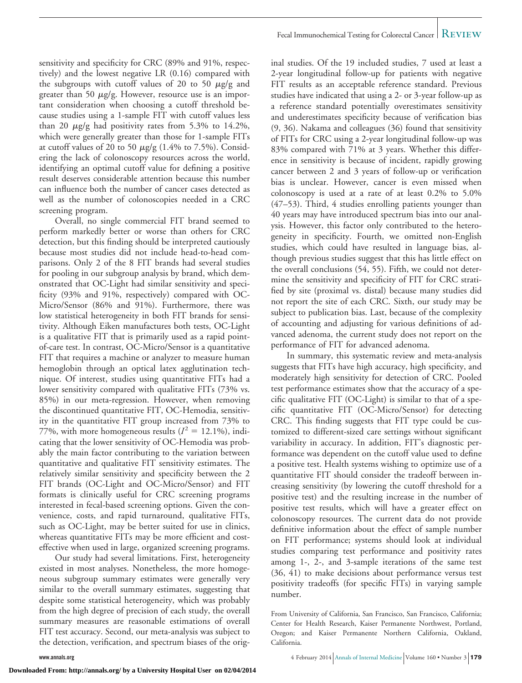sensitivity and specificity for CRC (89% and 91%, respectively) and the lowest negative LR (0.16) compared with the subgroups with cutoff values of 20 to 50  $\mu$ g/g and greater than 50  $\mu$ g/g. However, resource use is an important consideration when choosing a cutoff threshold because studies using a 1-sample FIT with cutoff values less than 20  $\mu$ g/g had positivity rates from 5.3% to 14.2%, which were generally greater than those for 1-sample FITs at cutoff values of 20 to 50  $\mu$ g/g (1.4% to 7.5%). Considering the lack of colonoscopy resources across the world, identifying an optimal cutoff value for defining a positive result deserves considerable attention because this number can influence both the number of cancer cases detected as well as the number of colonoscopies needed in a CRC screening program.

Overall, no single commercial FIT brand seemed to perform markedly better or worse than others for CRC detection, but this finding should be interpreted cautiously because most studies did not include head-to-head comparisons. Only 2 of the 8 FIT brands had several studies for pooling in our subgroup analysis by brand, which demonstrated that OC-Light had similar sensitivity and specificity (93% and 91%, respectively) compared with OC-Micro/Sensor (86% and 91%). Furthermore, there was low statistical heterogeneity in both FIT brands for sensitivity. Although Eiken manufactures both tests, OC-Light is a qualitative FIT that is primarily used as a rapid pointof-care test. In contrast, OC-Micro/Sensor is a quantitative FIT that requires a machine or analyzer to measure human hemoglobin through an optical latex agglutination technique. Of interest, studies using quantitative FITs had a lower sensitivity compared with qualitative FITs (73% vs. 85%) in our meta-regression. However, when removing the discontinued quantitative FIT, OC-Hemodia, sensitivity in the quantitative FIT group increased from 73% to 77%, with more homogeneous results  $(I^2 = 12.1\%)$ , indicating that the lower sensitivity of OC-Hemodia was probably the main factor contributing to the variation between quantitative and qualitative FIT sensitivity estimates. The relatively similar sensitivity and specificity between the 2 FIT brands (OC-Light and OC-Micro/Sensor) and FIT formats is clinically useful for CRC screening programs interested in fecal-based screening options. Given the convenience, costs, and rapid turnaround, qualitative FITs, such as OC-Light, may be better suited for use in clinics, whereas quantitative FITs may be more efficient and costeffective when used in large, organized screening programs.

Our study had several limitations. First, heterogeneity existed in most analyses. Nonetheless, the more homogeneous subgroup summary estimates were generally very similar to the overall summary estimates, suggesting that despite some statistical heterogeneity, which was probably from the high degree of precision of each study, the overall summary measures are reasonable estimations of overall FIT test accuracy. Second, our meta-analysis was subject to the detection, verification, and spectrum biases of the orig-

inal studies. Of the 19 included studies, 7 used at least a 2-year longitudinal follow-up for patients with negative FIT results as an acceptable reference standard. Previous studies have indicated that using a 2- or 3-year follow-up as a reference standard potentially overestimates sensitivity and underestimates specificity because of verification bias (9, 36). Nakama and colleagues (36) found that sensitivity of FITs for CRC using a 2-year longitudinal follow-up was 83% compared with 71% at 3 years. Whether this difference in sensitivity is because of incident, rapidly growing cancer between 2 and 3 years of follow-up or verification bias is unclear. However, cancer is even missed when colonoscopy is used at a rate of at least 0.2% to 5.0% (47–53). Third, 4 studies enrolling patients younger than 40 years may have introduced spectrum bias into our analysis. However, this factor only contributed to the heterogeneity in specificity. Fourth, we omitted non-English studies, which could have resulted in language bias, although previous studies suggest that this has little effect on the overall conclusions (54, 55). Fifth, we could not determine the sensitivity and specificity of FIT for CRC stratified by site (proximal vs. distal) because many studies did not report the site of each CRC. Sixth, our study may be subject to publication bias. Last, because of the complexity of accounting and adjusting for various definitions of advanced adenoma, the current study does not report on the performance of FIT for advanced adenoma.

In summary, this systematic review and meta-analysis suggests that FITs have high accuracy, high specificity, and moderately high sensitivity for detection of CRC. Pooled test performance estimates show that the accuracy of a specific qualitative FIT (OC-Light) is similar to that of a specific quantitative FIT (OC-Micro/Sensor) for detecting CRC. This finding suggests that FIT type could be customized to different-sized care settings without significant variability in accuracy. In addition, FIT's diagnostic performance was dependent on the cutoff value used to define a positive test. Health systems wishing to optimize use of a quantitative FIT should consider the tradeoff between increasing sensitivity (by lowering the cutoff threshold for a positive test) and the resulting increase in the number of positive test results, which will have a greater effect on colonoscopy resources. The current data do not provide definitive information about the effect of sample number on FIT performance; systems should look at individual studies comparing test performance and positivity rates among 1-, 2-, and 3-sample iterations of the same test (36, 41) to make decisions about performance versus test positivity tradeoffs (for specific FITs) in varying sample number.

**www.annals.org** 4 February 2014 Annals of Internal Medicine Volume 160 • Number 3 **179** 

From University of California, San Francisco, San Francisco, California; Center for Health Research, Kaiser Permanente Northwest, Portland, Oregon; and Kaiser Permanente Northern California, Oakland, California.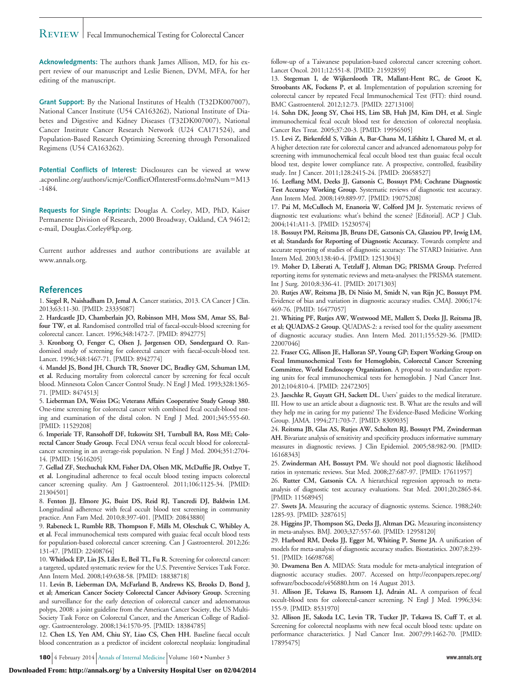# REVIEW | Fecal Immunochemical Testing for Colorectal Cancer

**Acknowledgments:** The authors thank James Allison, MD, for his expert review of our manuscript and Leslie Bienen, DVM, MFA, for her editing of the manuscript.

**Grant Support:** By the National Institutes of Health (T32DK007007), National Cancer Institute (U54 CA163262), National Institute of Diabetes and Digestive and Kidney Diseases (T32DK007007), National Cancer Institute Cancer Research Network (U24 CA171524), and Population-Based Research Optimizing Screening through Personalized Regimens (U54 CA163262).

**Potential Conflicts of Interest:** Disclosures can be viewed at [www](http://www.acponline.org/authors/icmje/ConflictOfInterestForms.do?msNum=M13-1484) [.acponline.org/authors/icmje/ConflictOfInterestForms.do?msNum](http://www.acponline.org/authors/icmje/ConflictOfInterestForms.do?msNum=M13-1484)=M13 [-1484.](http://www.acponline.org/authors/icmje/ConflictOfInterestForms.do?msNum=M13-1484)

**Requests for Single Reprints:** Douglas A. Corley, MD, PhD, Kaiser Permanente Division of Research, 2000 Broadway, Oakland, CA 94612; e-mail, [Douglas.Corley@kp.org.](mailto:Douglas.Corley@kp.org)

Current author addresses and author contributions are available at [www.annals.org.](http://www.annals.org)

### **References**

1. **Siegel R, Naishadham D, Jemal A.** Cancer statistics, 2013. CA Cancer J Clin. 2013;63:11-30. [PMID: 23335087]

2. **Hardcastle JD, Chamberlain JO, Robinson MH, Moss SM, Amar SS, Balfour TW, et al.** Randomised controlled trial of faecal-occult-blood screening for colorectal cancer. Lancet. 1996;348:1472-7. [PMID: 8942775]

3. **Kronborg O, Fenger C, Olsen J, Jørgensen OD, Søndergaard O.** Randomised study of screening for colorectal cancer with faecal-occult-blood test. Lancet. 1996;348:1467-71. [PMID: 8942774]

4. **Mandel JS, Bond JH, Church TR, Snover DC, Bradley GM, Schuman LM, et al.** Reducing mortality from colorectal cancer by screening for fecal occult blood. Minnesota Colon Cancer Control Study. N Engl J Med. 1993;328:1365- 71. [PMID: 8474513]

5. **Lieberman DA, Weiss DG; Veterans Affairs Cooperative Study Group 380.** One-time screening for colorectal cancer with combined fecal occult-blood testing and examination of the distal colon. N Engl J Med. 2001;345:555-60. [PMID: 11529208]

6. **Imperiale TF, Ransohoff DF, Itzkowitz SH, Turnbull BA, Ross ME; Colorectal Cancer Study Group.** Fecal DNA versus fecal occult blood for colorectalcancer screening in an average-risk population. N Engl J Med. 2004;351:2704- 14. [PMID: 15616205]

7. **Gellad ZF, Stechuchak KM, Fisher DA, Olsen MK, McDuffie JR, Ostbye T, et al.** Longitudinal adherence to fecal occult blood testing impacts colorectal cancer screening quality. Am J Gastroenterol. 2011;106:1125-34. [PMID: 21304501]

8. **Fenton JJ, Elmore JG, Buist DS, Reid RJ, Tancredi DJ, Baldwin LM.** Longitudinal adherence with fecal occult blood test screening in community practice. Ann Fam Med. 2010;8:397-401. [PMID: 20843880]

9. **Rabeneck L, Rumble RB, Thompson F, Mills M, Oleschuk C, Whibley A, et al.** Fecal immunochemical tests compared with guaiac fecal occult blood tests for population-based colorectal cancer screening. Can J Gastroenterol. 2012;26: 131-47. [PMID: 22408764]

10. **Whitlock EP, Lin JS, Liles E, Beil TL, Fu R.** Screening for colorectal cancer: a targeted, updated systematic review for the U.S. Preventive Services Task Force. Ann Intern Med. 2008;149:638-58. [PMID: 18838718]

11. **Levin B, Lieberman DA, McFarland B, Andrews KS, Brooks D, Bond J, et al; American Cancer Society Colorectal Cancer Advisory Group.** Screening and surveillance for the early detection of colorectal cancer and adenomatous polyps, 2008: a joint guideline from the American Cancer Society, the US Multi-Society Task Force on Colorectal Cancer, and the American College of Radiology. Gastroenterology. 2008;134:1570-95. [PMID: 18384785]

12. **Chen LS, Yen AM, Chiu SY, Liao CS, Chen HH.** Baseline faecal occult blood concentration as a predictor of incident colorectal neoplasia: longitudinal

**180** 4 February 2014 Annals of Internal Medicine Volume 160 • Number 3 **www.annals.org**

follow-up of a Taiwanese population-based colorectal cancer screening cohort. Lancet Oncol. 2011;12:551-8. [PMID: 21592859]

13. **Stegeman I, de Wijkerslooth TR, Mallant-Hent RC, de Groot K, Stroobants AK, Fockens P, et al.** Implementation of population screening for colorectal cancer by repeated Fecal Immunochemical Test (FIT): third round. BMC Gastroenterol. 2012;12:73. [PMID: 22713100]

14. **Sohn DK, Jeong SY, Choi HS, Lim SB, Huh JM, Kim DH, et al.** Single immunochemical fecal occult blood test for detection of colorectal neoplasia. Cancer Res Treat. 2005;37:20-3. [PMID: 19956505]

15. **Levi Z, Birkenfeld S, Vilkin A, Bar-Chana M, Lifshitz I, Chared M, et al.** A higher detection rate for colorectal cancer and advanced adenomatous polyp for screening with immunochemical fecal occult blood test than guaiac fecal occult blood test, despite lower compliance rate. A prospective, controlled, feasibility study. Int J Cancer. 2011;128:2415-24. [PMID: 20658527]

16. **Leeflang MM, Deeks JJ, Gatsonis C, Bossuyt PM; Cochrane Diagnostic Test Accuracy Working Group.** Systematic reviews of diagnostic test accuracy. Ann Intern Med. 2008;149:889-97. [PMID: 19075208]

17. **Pai M, McCulloch M, Enanoria W, Colford JM Jr.** Systematic reviews of diagnostic test evaluations: what's behind the scenes? [Editorial]. ACP J Club. 2004;141:A11-3. [PMID: 15230574]

18. **Bossuyt PM, Reitsma JB, Bruns DE, Gatsonis CA, Glasziou PP, Irwig LM, et al; Standards for Reporting of Diagnostic Accuracy.** Towards complete and accurate reporting of studies of diagnostic accuracy: The STARD Initiative. Ann Intern Med. 2003;138:40-4. [PMID: 12513043]

19. **Moher D, Liberati A, Tetzlaff J, Altman DG; PRISMA Group.** Preferred reporting items for systematic reviews and meta-analyses: the PRISMA statement. Int J Surg. 2010;8:336-41. [PMID: 20171303]

20. **Rutjes AW, Reitsma JB, Di Nisio M, Smidt N, van Rijn JC, Bossuyt PM.** Evidence of bias and variation in diagnostic accuracy studies. CMAJ. 2006;174: 469-76. [PMID: 16477057]

21. **Whiting PF, Rutjes AW, Westwood ME, Mallett S, Deeks JJ, Reitsma JB, et al; QUADAS-2 Group.** QUADAS-2: a revised tool for the quality assessment of diagnostic accuracy studies. Ann Intern Med. 2011;155:529-36. [PMID: 22007046]

22. **Fraser CG, Allison JE, Halloran SP, Young GP; Expert Working Group on Fecal Immunochemical Tests for Hemoglobin, Colorectal Cancer Screening Committee, World Endoscopy Organization.** A proposal to standardize reporting units for fecal immunochemical tests for hemoglobin. J Natl Cancer Inst. 2012;104:810-4. [PMID: 22472305]

23. **Jaeschke R, Guyatt GH, Sackett DL.** Users' guides to the medical literature. III. How to use an article about a diagnostic test. B. What are the results and will they help me in caring for my patients? The Evidence-Based Medicine Working Group. JAMA. 1994;271:703-7. [PMID: 8309035]

24. **Reitsma JB, Glas AS, Rutjes AW, Scholten RJ, Bossuyt PM, Zwinderman AH.** Bivariate analysis of sensitivity and specificity produces informative summary measures in diagnostic reviews. J Clin Epidemiol. 2005;58:982-90. [PMID: 16168343]

25. **Zwinderman AH, Bossuyt PM.** We should not pool diagnostic likelihood ratios in systematic reviews. Stat Med. 2008;27:687-97. [PMID: 17611957]

26. **Rutter CM, Gatsonis CA.** A hierarchical regression approach to metaanalysis of diagnostic test accuracy evaluations. Stat Med. 2001;20:2865-84. [PMID: 11568945]

27. **Swets JA.** Measuring the accuracy of diagnostic systems. Science. 1988;240: 1285-93. [PMID: 3287615]

28. **Higgins JP, Thompson SG, Deeks JJ, Altman DG.** Measuring inconsistency in meta-analyses. BMJ. 2003;327:557-60. [PMID: 12958120]

29. **Harbord RM, Deeks JJ, Egger M, Whiting P, Sterne JA.** A unification of models for meta-analysis of diagnostic accuracy studies. Biostatistics. 2007;8:239- 51. [PMID: 16698768]

30. **Dwamena Ben A.** MIDAS: Stata module for meta-analytical integration of diagnostic accuracy studies. 2007. Accessed on [http://econpapers.repec.org/](http://econpapers.repec.org/software/bocbocode/s456880.htm) [software/bocbocode/s456880.htm](http://econpapers.repec.org/software/bocbocode/s456880.htm) on 14 August 2013.

31. **Allison JE, Tekawa IS, Ransom LJ, Adrain AL.** A comparison of fecal occult-blood tests for colorectal-cancer screening. N Engl J Med. 1996;334: 155-9. [PMID: 8531970]

32. **Allison JE, Sakoda LC, Levin TR, Tucker JP, Tekawa IS, Cuff T, et al.** Screening for colorectal neoplasms with new fecal occult blood tests: update on performance characteristics. J Natl Cancer Inst. 2007;99:1462-70. [PMID: 17895475]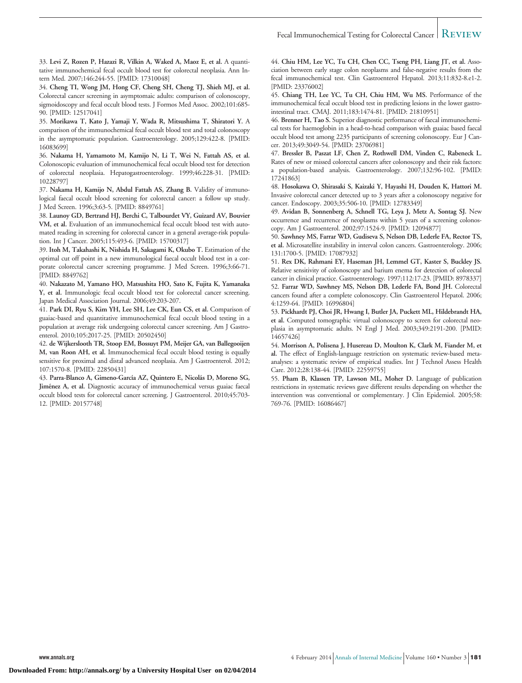33. **Levi Z, Rozen P, Hazazi R, Vilkin A, Waked A, Maoz E, et al.** A quantitative immunochemical fecal occult blood test for colorectal neoplasia. Ann Intern Med. 2007;146:244-55. [PMID: 17310048]

34. **Cheng TI, Wong JM, Hong CF, Cheng SH, Cheng TJ, Shieh MJ, et al.** Colorectal cancer screening in asymptomaic adults: comparison of colonoscopy, sigmoidoscopy and fecal occult blood tests. J Formos Med Assoc. 2002;101:685-90. [PMID: 12517041]

35. **Morikawa T, Kato J, Yamaji Y, Wada R, Mitsushima T, Shiratori Y.** A comparison of the immunochemical fecal occult blood test and total colonoscopy in the asymptomatic population. Gastroenterology. 2005;129:422-8. [PMID: 16083699]

36. **Nakama H, Yamamoto M, Kamijo N, Li T, Wei N, Fattah AS, et al.** Colonoscopic evaluation of immunochemical fecal occult blood test for detection of colorectal neoplasia. Hepatogastroenterology. 1999;46:228-31. [PMID: 10228797]

37. **Nakama H, Kamijo N, Abdul Fattah AS, Zhang B.** Validity of immunological faecal occult blood screening for colorectal cancer: a follow up study. J Med Screen. 1996;3:63-5. [PMID: 8849761]

38. **Launoy GD, Bertrand HJ, Berchi C, Talbourdet VY, Guizard AV, Bouvier VM, et al.** Evaluation of an immunochemical fecal occult blood test with automated reading in screening for colorectal cancer in a general average-risk population. Int J Cancer. 2005;115:493-6. [PMID: 15700317]

39. **Itoh M, Takahashi K, Nishida H, Sakagami K, Okubo T.** Estimation of the optimal cut off point in a new immunological faecal occult blood test in a corporate colorectal cancer screening programme. J Med Screen. 1996;3:66-71. [PMID: 8849762]

40. **Nakazato M, Yamano HO, Matsushita HO, Sato K, Fujita K, Yamanaka Y, et al.** Immunologic fecal occult blood test for colorectal cancer screening. Japan Medical Association Journal. 2006;49:203-207.

41. **Park DI, Ryu S, Kim YH, Lee SH, Lee CK, Eun CS, et al.** Comparison of guaiac-based and quantitative immunochemical fecal occult blood testing in a population at average risk undergoing colorectal cancer screening. Am J Gastroenterol. 2010;105:2017-25. [PMID: 20502450]

42. **de Wijkerslooth TR, Stoop EM, Bossuyt PM, Meijer GA, van Ballegooijen M, van Roon AH, et al.** Immunochemical fecal occult blood testing is equally sensitive for proximal and distal advanced neoplasia. Am J Gastroenterol. 2012; 107:1570-8. [PMID: 22850431]

43. **Parra-Blanco A, Gimeno-Garcı´a AZ, Quintero E, Nicola´s D, Moreno SG,** Jiménez A, et al. Diagnostic accuracy of immunochemical versus guaiac faecal occult blood tests for colorectal cancer screening. J Gastroenterol. 2010;45:703- 12. [PMID: 20157748]

44. **Chiu HM, Lee YC, Tu CH, Chen CC, Tseng PH, Liang JT, et al.** Association between early stage colon neoplasms and false-negative results from the fecal immunochemical test. Clin Gastroenterol Hepatol. 2013;11:832-8.e1-2. [PMID: 23376002]

45. **Chiang TH, Lee YC, Tu CH, Chiu HM, Wu MS.** Performance of the immunochemical fecal occult blood test in predicting lesions in the lower gastrointestinal tract. CMAJ. 2011;183:1474-81. [PMID: 21810951]

46. **Brenner H, Tao S.** Superior diagnostic performance of faecal immunochemical tests for haemoglobin in a head-to-head comparison with guaiac based faecal occult blood test among 2235 participants of screening colonoscopy. Eur J Cancer. 2013;49:3049-54. [PMID: 23706981]

47. **Bressler B, Paszat LF, Chen Z, Rothwell DM, Vinden C, Rabeneck L.** Rates of new or missed colorectal cancers after colonoscopy and their risk factors: a population-based analysis. Gastroenterology. 2007;132:96-102. [PMID: 17241863]

48. **Hosokawa O, Shirasaki S, Kaizaki Y, Hayashi H, Douden K, Hattori M.** Invasive colorectal cancer detected up to 3 years after a colonoscopy negative for cancer. Endoscopy. 2003;35:506-10. [PMID: 12783349]

49. **Avidan B, Sonnenberg A, Schnell TG, Leya J, Metz A, Sontag SJ.** New occurrence and recurrence of neoplasms within 5 years of a screening colonoscopy. Am J Gastroenterol. 2002;97:1524-9. [PMID: 12094877]

50. **Sawhney MS, Farrar WD, Gudiseva S, Nelson DB, Lederle FA, Rector TS, et al.** Microsatellite instability in interval colon cancers. Gastroenterology. 2006; 131:1700-5. [PMID: 17087932]

51. **Rex DK, Rahmani EY, Haseman JH, Lemmel GT, Kaster S, Buckley JS.** Relative sensitivity of colonoscopy and barium enema for detection of colorectal cancer in clinical practice. Gastroenterology. 1997;112:17-23. [PMID: 8978337] 52. **Farrar WD, Sawhney MS, Nelson DB, Lederle FA, Bond JH.** Colorectal cancers found after a complete colonoscopy. Clin Gastroenterol Hepatol. 2006; 4:1259-64. [PMID: 16996804]

53. **Pickhardt PJ, Choi JR, Hwang I, Butler JA, Puckett ML, Hildebrandt HA, et al.** Computed tomographic virtual colonoscopy to screen for colorectal neoplasia in asymptomatic adults. N Engl J Med. 2003;349:2191-200. [PMID: 14657426]

54. **Morrison A, Polisena J, Husereau D, Moulton K, Clark M, Fiander M, et al.** The effect of English-language restriction on systematic review-based metaanalyses: a systematic review of empirical studies. Int J Technol Assess Health Care. 2012;28:138-44. [PMID: 22559755]

55. **Pham B, Klassen TP, Lawson ML, Moher D.** Language of publication restrictions in systematic reviews gave different results depending on whether the intervention was conventional or complementary. J Clin Epidemiol. 2005;58: 769-76. [PMID: 16086467]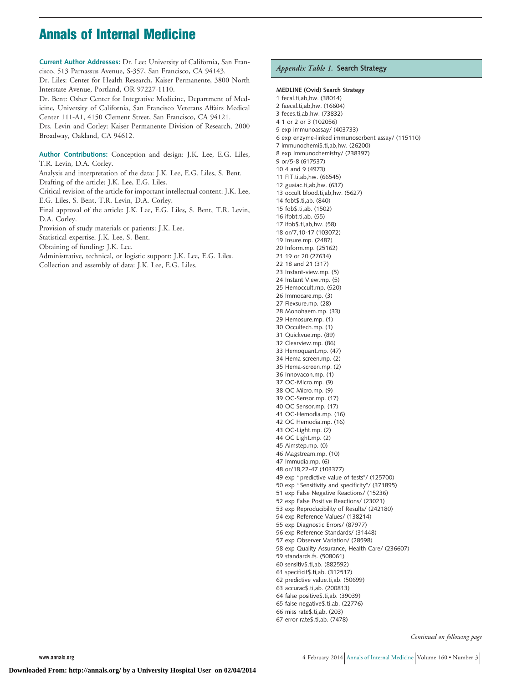# **Annals of Internal Medicine**

**Current Author Addresses:** Dr. Lee: University of California, San Francisco, 513 Parnassus Avenue, S-357, San Francisco, CA 94143. Dr. Liles: Center for Health Research, Kaiser Permanente, 3800 North Interstate Avenue, Portland, OR 97227-1110. Dr. Bent: Osher Center for Integrative Medicine, Department of Medicine, University of California, San Francisco Veterans Affairs Medical Center 111-A1, 4150 Clement Street, San Francisco, CA 94121.

Drs. Levin and Corley: Kaiser Permanente Division of Research, 2000 Broadway, Oakland, CA 94612.

**Author Contributions:** Conception and design: J.K. Lee, E.G. Liles, T.R. Levin, D.A. Corley.

Analysis and interpretation of the data: J.K. Lee, E.G. Liles, S. Bent. Drafting of the article: J.K. Lee, E.G. Liles.

Critical revision of the article for important intellectual content: J.K. Lee, E.G. Liles, S. Bent, T.R. Levin, D.A. Corley.

Final approval of the article: J.K. Lee, E.G. Liles, S. Bent, T.R. Levin, D.A. Corley.

Provision of study materials or patients: J.K. Lee.

Statistical expertise: J.K. Lee, S. Bent.

Obtaining of funding: J.K. Lee.

Administrative, technical, or logistic support: J.K. Lee, E.G. Liles.

Collection and assembly of data: J.K. Lee, E.G. Liles.

# *Appendix Table 1.* **Search Strategy**

**MEDLINE (Ovid) Search Strategy** 1 fecal.ti,ab,hw. (38014) 2 faecal.ti,ab,hw. (16604) 3 feces.ti,ab,hw. (73832) 4 1 or 2 or 3 (102056) 5 exp immunoassay/ (403733) 6 exp enzyme-linked immunosorbent assay/ (115110) 7 immunochemi\$.ti,ab,hw. (26200) 8 exp Immunochemistry/ (238397) 9 or/5-8 (617537) 10 4 and 9 (4973) 11 FIT.ti,ab,hw. (66545) 12 guaiac.ti,ab,hw. (637) 13 occult blood.ti,ab,hw. (5627) 14 fobt\$.ti,ab. (840) 15 fob\$.ti,ab. (1502) 16 ifobt.ti,ab. (55) 17 ifob\$.ti,ab,hw. (58) 18 or/7,10-17 (103072) 19 Insure.mp. (2487) 20 Inform.mp. (25162) 21 19 or 20 (27634) 22 18 and 21 (317) 23 Instant-view.mp. (5) 24 Instant View.mp. (5) 25 Hemoccult.mp. (520) 26 Immocare.mp. (3) 27 Flexsure.mp. (28) 28 Monohaem.mp. (33) 29 Hemosure.mp. (1) 30 Occultech.mp. (1) 31 Quickvue.mp. (89) 32 Clearview.mp. (86) 33 Hemoquant.mp. (47) 34 Hema screen.mp. (2) 35 Hema-screen.mp. (2) 36 Innovacon.mp. (1) 37 OC-Micro.mp. (9) 38 OC Micro.mp. (9) 39 OC-Sensor.mp. (17) 40 OC Sensor.mp. (17) 41 OC-Hemodia.mp. (16) 42 OC Hemodia.mp. (16) 43 OC-Light.mp. (2) 44 OC Light.mp. (2) 45 Aimstep.mp. (0) 46 Magstream.mp. (10) 47 Immudia.mp. (6) 48 or/18,22-47 (103377) 49 exp "predictive value of tests"/ (125700) 50 exp "Sensitivity and specificity"/ (371895) 51 exp False Negative Reactions/ (15236) 52 exp False Positive Reactions/ (23021) 53 exp Reproducibility of Results/ (242180) 54 exp Reference Values/ (138214) 55 exp Diagnostic Errors/ (87977) 56 exp Reference Standards/ (31448) 57 exp Observer Variation/ (28598) 58 exp Quality Assurance, Health Care/ (236607) 59 standards.fs. (508061) 60 sensitiv\$.ti,ab. (882592) 61 specificit\$.ti,ab. (312517) 62 predictive value.ti,ab. (50699) 63 accurac\$.ti,ab. (200813) 64 false positive\$.ti,ab. (39039) 65 false negative\$.ti,ab. (22776) 66 miss rate\$.ti,ab. (203) 67 error rate\$.ti,ab. (7478)

*Continued on following page*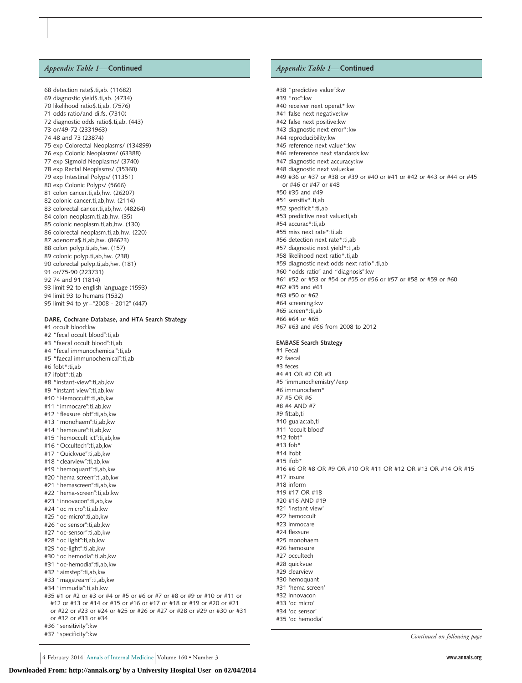### *Appendix Table 1—***Continued**

68 detection rate\$.ti,ab. (11682) 69 diagnostic yield\$.ti,ab. (4734) 70 likelihood ratio\$.ti,ab. (7576) 71 odds ratio/and di.fs. (7310) 72 diagnostic odds ratio\$.ti,ab. (443) 73 or/49-72 (2331963) 74 48 and 73 (23874) 75 exp Colorectal Neoplasms/ (134899) 76 exp Colonic Neoplasms/ (63388) 77 exp Sigmoid Neoplasms/ (3740) 78 exp Rectal Neoplasms/ (35360) 79 exp Intestinal Polyps/ (11351) 80 exp Colonic Polyps/ (5666) 81 colon cancer.ti,ab,hw. (26207) 82 colonic cancer ti ab hw. (2114) 83 colorectal cancer.ti,ab,hw. (48264) 84 colon neoplasm.ti,ab,hw. (35) 85 colonic neoplasm.ti,ab,hw. (130) 86 colorectal neoplasm.ti,ab,hw. (220) 87 adenoma\$.ti,ab,hw. (86623) 88 colon polyp.ti,ab,hw. (157) 89 colonic polyp.ti,ab,hw. (238) 90 colorectal polyp.ti,ab,hw. (181) 91 or/75-90 (223731) 92 74 and 91 (1814) 93 limit 92 to english language (1593) 94 limit 93 to humans (1532) 95 limit 94 to yr="2008 - 2012" (447) **DARE, Cochrane Database, and HTA Search Strategy** #1 occult blood:kw #2 "fecal occult blood":ti,ab #3 "faecal occult blood":ti,ab #4 "fecal immunochemical":ti,ab #5 "faecal immunochemical":ti,ab #6 fobt\*:ti,ab #7 ifobt\*:ti,ab #8 "instant-view":ti,ab,kw #9 "instant view":ti,ab,kw #10 "Hemoccult":ti,ab,kw #11 "immocare":ti,ab,kw #12 "flexsure obt":ti,ab,kw #13 "monohaem":ti,ab,kw #14 "hemosure":ti,ab,kw #15 "hemoccult ict":ti,ab,kw #16 "Occultech":ti,ab,kw #17 "Quickvue":ti,ab,kw #18 "clearview":ti,ab,kw #19 "hemoquant":ti,ab,kw #20 "hema screen":ti,ab,kw #21 "hemascreen":ti,ab,kw #22 "hema-screen":ti,ab,kw #23 "innovacon":ti,ab,kw #24 "oc micro":ti,ab,kw #25 "oc-micro":ti,ab,kw #26 "oc sensor":ti,ab,kw #27 "oc-sensor":ti,ab,kw #28 "oc light":ti,ab,kw #29 "oc-light":ti,ab,kw #30 "oc hemodia":ti,ab,kw #31 "oc-hemodia":ti,ab,kw #32 "aimstep":ti,ab,kw #33 "magstream":ti,ab,kw #34 "immudia":ti,ab,kw

#### #35 #1 or #2 or #3 or #4 or #5 or #6 or #7 or #8 or #9 or #10 or #11 or #12 or #13 or #14 or #15 or #16 or #17 or #18 or #19 or #20 or #21 or #22 or #23 or #24 or #25 or #26 or #27 or #28 or #29 or #30 or #31 or #32 or #33 or #34 #36 "sensitivity":kw

#37 "specificity":kw

# *Appendix Table 1—***Continued**

#38 "predictive value":kw #39 "roc":kw #40 receiver next operat\*:kw #41 false next negative:kw #42 false next positive:kw #43 diagnostic next error\*:kw #44 reproducibility:kw #45 reference next value\*:kw #46 refererence next standards:kw #47 diagnostic next accuracy:kw #48 diagnostic next value:kw #49 #36 or #37 or #38 or #39 or #40 or #41 or #42 or #43 or #44 or #45 or #46 or #47 or #48 #50 #35 and #49 #51 sensitiv\*.ti,ab #52 specificit\*:ti,ab #53 predictive next value:ti,ab #54 accurac\*:ti,ab #55 miss next rate\*:ti,ab #56 detection next rate\*:ti,ab #57 diagnostic next yield\*:ti,ab #58 likelihood next ratio\*.ti,ab #59 diagnostic next odds next ratio\*.ti,ab #60 "odds ratio" and "diagnosis":kw #61 #52 or #53 or #54 or #55 or #56 or #57 or #58 or #59 or #60 #62 #35 and #61 #63 #50 or #62 #64 screening:kw #65 screen\*:ti,ab #66 #64 or #65 #67 #63 and #66 from 2008 to 2012 **EMBASE Search Strategy** #1 Fecal #2 faecal #3 feces #4 #1 OR #2 OR #3 #5 'immunochemistry'/exp #6 immunochem\* #7 #5 OR #6 #8 #4 AND #7 #9 fit:ab,ti #10 guaiac:ab,ti #11 'occult blood' #12 fobt\* #13 fob\* #14 ifobt  $#15$  ifob<sup>\*</sup> #16 #6 OR #8 OR #9 OR #10 OR #11 OR #12 OR #13 OR #14 OR #15 #17 insure #18 inform #19 #17 OR #18 #20 #16 AND #19 #21 'instant view' #22 hemoccult #23 immocare #24 flexsure #25 monohaem #26 hemosure #27 occultech #28 quickvue #29 clearview #30 hemoquant #31 'hema screen' #32 innovacon #33 'oc micro' #34 'oc sensor' #35 'oc hemodia'

*Continued on following page*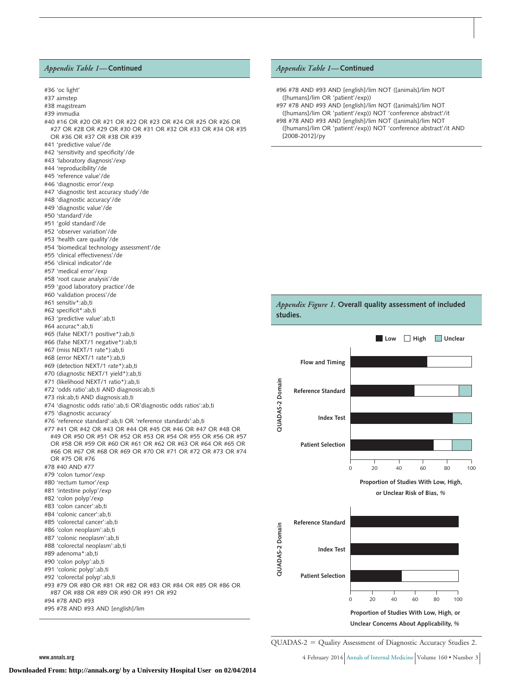#### *Appendix Table 1—***Continued**



#### *Appendix Table 1—***Continued**

- #96 #78 AND #93 AND [english]/lim NOT ([animals]/lim NOT ([humans]/lim OR 'patient'/exp))
- #97 #78 AND #93 AND [english]/lim NOT ([animals]/lim NOT ([humans]/lim OR 'patient'/exp)) NOT 'conference abstract'/it #98 #78 AND #93 AND [english]/lim NOT ([animals]/lim NOT
- ([humans]/lim OR 'patient'/exp)) NOT 'conference abstract'/it AND [2008-2012]/py



QUADAS-2 = Quality Assessment of Diagnostic Accuracy Studies 2.

**www.annals.org**  $\blacksquare$  4 February 2014 Annals of Internal Medicine Volume 160 • Number 3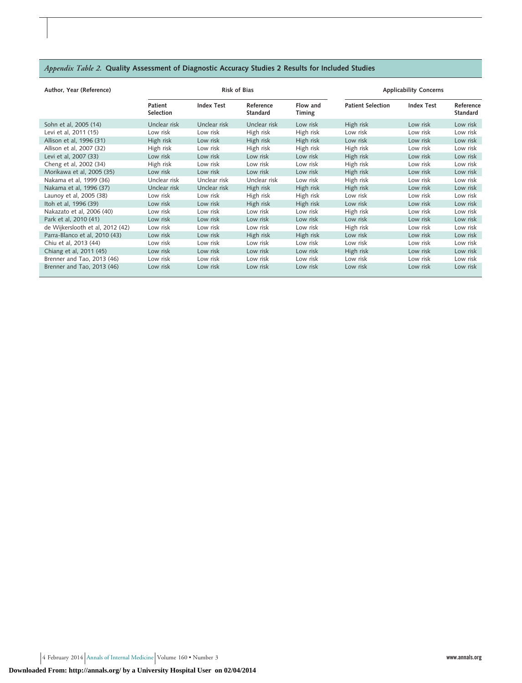# *Appendix Table 2.* **Quality Assessment of Diagnostic Accuracy Studies 2 Results for Included Studies**

| Author, Year (Reference)         |                      |                   | <b>Risk of Bias</b>          | <b>Applicability Concerns</b> |                          |                   |                              |  |
|----------------------------------|----------------------|-------------------|------------------------------|-------------------------------|--------------------------|-------------------|------------------------------|--|
|                                  | Patient<br>Selection | <b>Index Test</b> | Reference<br><b>Standard</b> | Flow and<br>Timing            | <b>Patient Selection</b> | <b>Index Test</b> | Reference<br><b>Standard</b> |  |
| Sohn et al, 2005 (14)            | Unclear risk         | Unclear risk      | Unclear risk                 | Low risk                      | High risk                | Low risk          | Low risk                     |  |
| Levi et al, 2011 (15)            | Low risk             | Low risk          | High risk                    | High risk                     | Low risk                 | Low risk          | Low risk                     |  |
| Allison et al, 1996 (31)         | High risk            | Low risk          | High risk                    | High risk                     | Low risk                 | Low risk          | Low risk                     |  |
| Allison et al, 2007 (32)         | High risk            | Low risk          | High risk                    | High risk                     | High risk                | Low risk          | Low risk                     |  |
| Levi et al, 2007 (33)            | Low risk             | Low risk          | Low risk                     | Low risk                      | High risk                | Low risk          | Low risk                     |  |
| Cheng et al, 2002 (34)           | High risk            | Low risk          | Low risk                     | Low risk                      | High risk                | Low risk          | Low risk                     |  |
| Morikawa et al, 2005 (35)        | Low risk             | Low risk          | Low risk                     | Low risk                      | High risk                | Low risk          | Low risk                     |  |
| Nakama et al, 1999 (36)          | Unclear risk         | Unclear risk      | Unclear risk                 | Low risk                      | High risk                | Low risk          | Low risk                     |  |
| Nakama et al, 1996 (37)          | Unclear risk         | Unclear risk      | High risk                    | High risk                     | High risk                | Low risk          | Low risk                     |  |
| Launoy et al, 2005 (38)          | Low risk             | Low risk          | High risk                    | High risk                     | Low risk                 | Low risk          | Low risk                     |  |
| Itoh et al, 1996 (39)            | Low risk             | Low risk          | High risk                    | High risk                     | Low risk                 | Low risk          | Low risk                     |  |
| Nakazato et al, 2006 (40)        | Low risk             | Low risk          | Low risk                     | Low risk                      | High risk                | Low risk          | Low risk                     |  |
| Park et al, 2010 (41)            | Low risk             | Low risk          | Low risk                     | Low risk                      | Low risk                 | Low risk          | Low risk                     |  |
| de Wijkerslooth et al, 2012 (42) | Low risk             | Low risk          | Low risk                     | Low risk                      | High risk                | Low risk          | Low risk                     |  |
| Parra-Blanco et al, 2010 (43)    | Low risk             | Low risk          | High risk                    | High risk                     | Low risk                 | Low risk          | Low risk                     |  |
| Chiu et al, 2013 (44)            | Low risk             | Low risk          | Low risk                     | Low risk                      | Low risk                 | Low risk          | Low risk                     |  |
| Chiang et al, 2011 (45)          | Low risk             | Low risk          | Low risk                     | Low risk                      | High risk                | Low risk          | Low risk                     |  |
| Brenner and Tao, 2013 (46)       | Low risk             | Low risk          | Low risk                     | Low risk                      | Low risk                 | Low risk          | Low risk                     |  |
| Brenner and Tao, 2013 (46)       | Low risk             | Low risk          | Low risk                     | Low risk                      | Low risk                 | Low risk          | Low risk                     |  |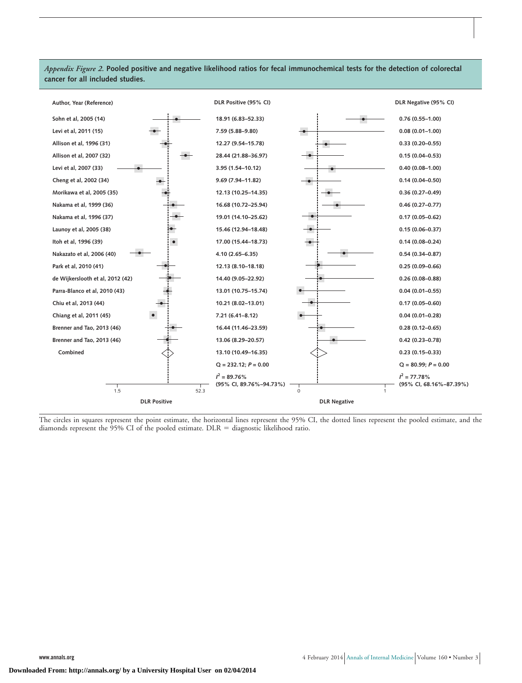# *Appendix Figure 2.* **Pooled positive and negative likelihood ratios for fecal immunochemical tests for the detection of colorectal cancer for all included studies.**



The circles in squares represent the point estimate, the horizontal lines represent the 95% CI, the dotted lines represent the pooled estimate, and the diamonds represent the  $95\%$  CI of the pooled estimate. DLR = diagnostic likelihood ratio.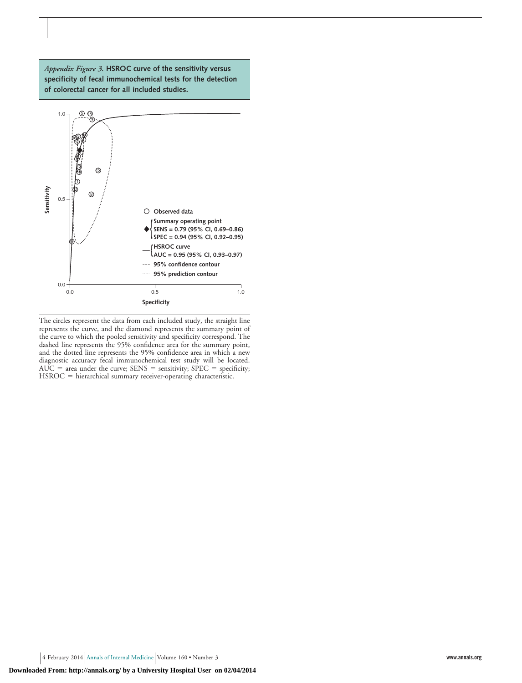

*Appendix Figure 3.* **HSROC curve of the sensitivity versus**

The circles represent the data from each included study, the straight line represents the curve, and the diamond represents the summary point of the curve to which the pooled sensitivity and specificity correspond. The dashed line represents the 95% confidence area for the summary point, and the dotted line represents the 95% confidence area in which a new diagnostic accuracy fecal immunochemical test study will be located.  $AUC = area$  under the curve;  $SENS = sensitivity$ ;  $SPEC = specificity$ ;  $HSROC = hierarchical summary receiver-operating characteristic.$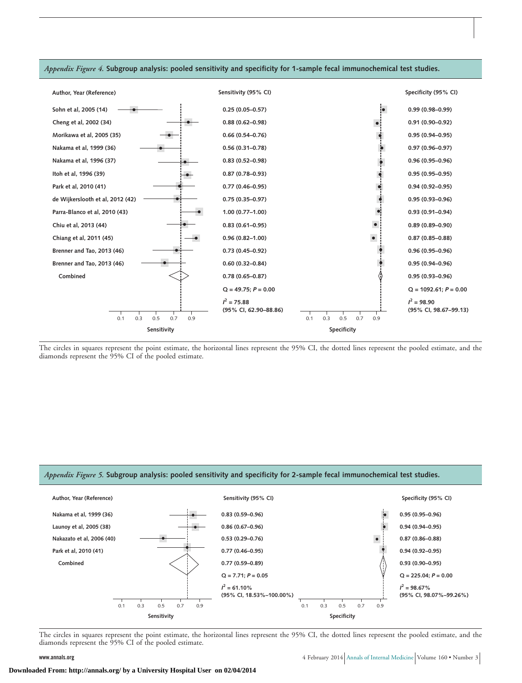

*Appendix Figure 4.* **Subgroup analysis: pooled sensitivity and specificity for 1-sample fecal immunochemical test studies.**

The circles in squares represent the point estimate, the horizontal lines represent the 95% CI, the dotted lines represent the pooled estimate, and the diamonds represent the 95% CI of the pooled estimate.

#### *Appendix Figure 5.* **Subgroup analysis: pooled sensitivity and specificity for 2-sample fecal immunochemical test studies.**



The circles in squares represent the point estimate, the horizontal lines represent the 95% CI, the dotted lines represent the pooled estimate, and the diamonds represent the 95% CI of the pooled estimate.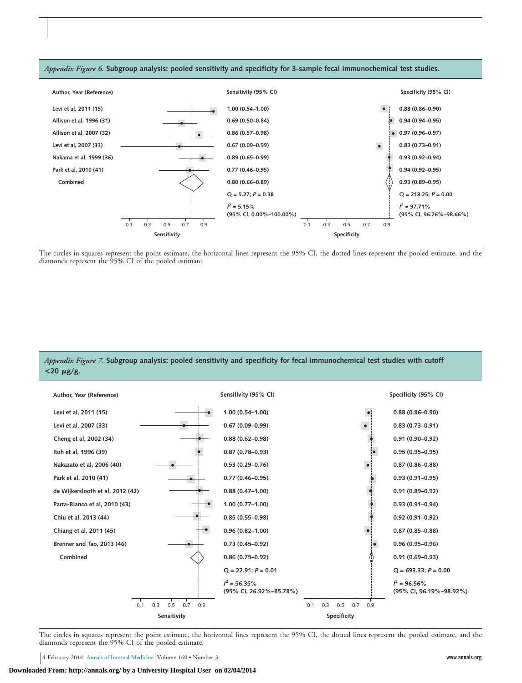

*Appendix Figure 6.* **Subgroup analysis: pooled sensitivity and specificity for 3-sample fecal immunochemical test studies.**



# *Appendix Figure 7.* **Subgroup analysis: pooled sensitivity and specificity for fecal immunochemical test studies with cutoff**  $<$ **20**  $\mu$ g/g.



The circles in squares represent the point estimate, the horizontal lines represent the 95% CI, the dotted lines represent the pooled estimate, and the diamonds represent the 95% CI of the pooled estimate.

4 February 2014 Annals of Internal Medicine Volume 160 • Number 3 **www.annals.org**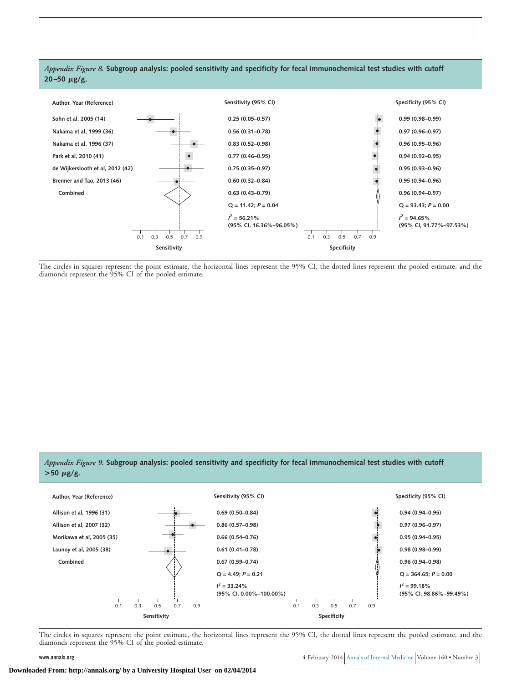

The circles in squares represent the point estimate, the horizontal lines represent the 95% CI, the dotted lines represent the pooled estimate, and the diamonds represent the 95% CI of the pooled estimate.

# *Appendix Figure 9.* **Subgroup analysis: pooled sensitivity and specificity for fecal immunochemical test studies with cutoff**  $> 50 \mu g/g$ .



The circles in squares represent the point estimate, the horizontal lines represent the 95% CI, the dotted lines represent the pooled estimate, and the diamonds represent the 95% CI of the pooled estimate.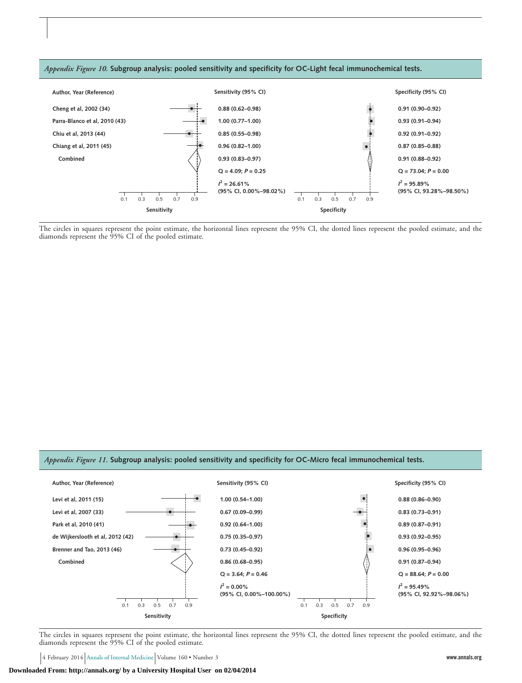

The circles in squares represent the point estimate, the horizontal lines represent the 95% CI, the dotted lines represent the pooled estimate, and the diamonds represent the 95% CI of the pooled estimate.

#### *Appendix Figure 11.* **Subgroup analysis: pooled sensitivity and specificity for OC-Micro fecal immunochemical tests.**



The circles in squares represent the point estimate, the horizontal lines represent the 95% CI, the dotted lines represent the pooled estimate, and the diamonds represent the 95% CI of the pooled estimate.

4 February 2014 Annals of Internal Medicine Volume 160 • Number 3 **www.annals.org**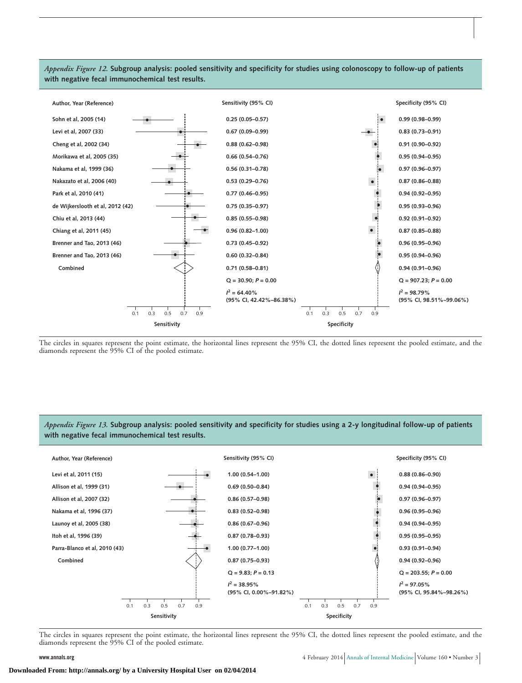

*Appendix Figure 12.* **Subgroup analysis: pooled sensitivity and specificity for studies using colonoscopy to follow-up of patients with negative fecal immunochemical test results.**

The circles in squares represent the point estimate, the horizontal lines represent the 95% CI, the dotted lines represent the pooled estimate, and the diamonds represent the 95% CI of the pooled estimate.

*Appendix Figure 13.* **Subgroup analysis: pooled sensitivity and specificity for studies using a 2-y longitudinal follow-up of patients with negative fecal immunochemical test results.**



The circles in squares represent the point estimate, the horizontal lines represent the 95% CI, the dotted lines represent the pooled estimate, and the diamonds represent the 95% CI of the pooled estimate.